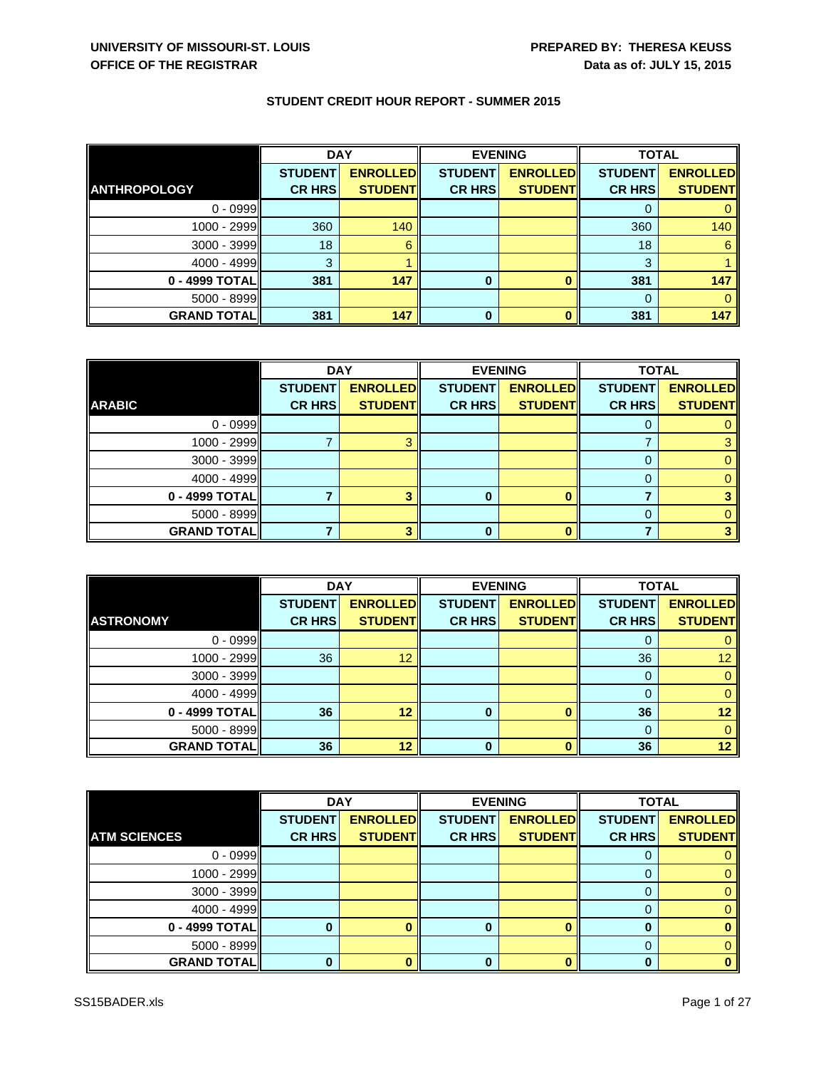|                     | <b>DAY</b>     |                 | <b>EVENING</b> |                 | <b>TOTAL</b>   |                 |
|---------------------|----------------|-----------------|----------------|-----------------|----------------|-----------------|
|                     | <b>STUDENT</b> | <b>ENROLLED</b> | <b>STUDENT</b> | <b>ENROLLED</b> | <b>STUDENT</b> | <b>ENROLLED</b> |
| <b>ANTHROPOLOGY</b> | <b>CR HRS</b>  | <b>STUDENT</b>  | <b>CR HRS</b>  | <b>STUDENT</b>  | <b>CR HRS</b>  | <b>STUDENT</b>  |
| $0 - 0999$          |                |                 |                |                 |                |                 |
| 1000 - 2999         | 360            | 140             |                |                 | 360            | 140             |
| 3000 - 3999         | 18             | 6               |                |                 | 18             | 6               |
| $4000 - 4999$       | 3              |                 |                |                 | 3              |                 |
| 0 - 4999 TOTAL      | 381            | 147             | 0              |                 | 381            | 147             |
| 5000 - 8999         |                |                 |                |                 | 0              |                 |
| <b>GRAND TOTAL</b>  | 381            | 147             | $\bf{0}$       |                 | 381            | 147             |

|                    | <b>DAY</b>     |                 | <b>EVENING</b> |                 | <b>TOTAL</b>   |                 |
|--------------------|----------------|-----------------|----------------|-----------------|----------------|-----------------|
|                    | <b>STUDENT</b> | <b>ENROLLED</b> | <b>STUDENT</b> | <b>ENROLLED</b> | <b>STUDENT</b> | <b>ENROLLED</b> |
| <b>ARABIC</b>      | <b>CR HRS</b>  | <b>STUDENT</b>  | <b>CR HRS</b>  | <b>STUDENT</b>  | <b>CR HRS</b>  | <b>STUDENT</b>  |
| $0 - 0999$         |                |                 |                |                 |                |                 |
| 1000 - 2999        |                |                 |                |                 |                |                 |
| $3000 - 3999$      |                |                 |                |                 |                |                 |
| $4000 - 4999$      |                |                 |                |                 |                |                 |
| 0 - 4999 TOTAL     |                |                 | 0              |                 |                |                 |
| 5000 - 8999        |                |                 |                |                 |                |                 |
| <b>GRAND TOTAL</b> |                |                 |                |                 |                |                 |

|                    | <b>DAY</b>     |                 | <b>EVENING</b> |                 | <b>TOTAL</b>   |                 |
|--------------------|----------------|-----------------|----------------|-----------------|----------------|-----------------|
|                    | <b>STUDENT</b> | <b>ENROLLED</b> | <b>STUDENT</b> | <b>ENROLLED</b> | <b>STUDENT</b> | <b>ENROLLED</b> |
| <b>ASTRONOMY</b>   | <b>CR HRS</b>  | <b>STUDENT</b>  | <b>CR HRS</b>  | <b>STUDENT</b>  | <b>CR HRS</b>  | <b>STUDENT</b>  |
| $0 - 0999$         |                |                 |                |                 |                |                 |
| 1000 - 2999        | 36             | 12              |                |                 | 36             | 12              |
| 3000 - 3999        |                |                 |                |                 | 0              |                 |
| $4000 - 4999$      |                |                 |                |                 |                |                 |
| 0 - 4999 TOTAL     | 36             | 12              | $\bf{0}$       |                 | 36             | 12              |
| 5000 - 8999        |                |                 |                |                 | 0              |                 |
| <b>GRAND TOTAL</b> | 36             | 12              | 0              |                 | 36             | 12              |

|                     | <b>DAY</b>     |                 | <b>EVENING</b> |                 | <b>TOTAL</b>   |                 |
|---------------------|----------------|-----------------|----------------|-----------------|----------------|-----------------|
|                     | <b>STUDENT</b> | <b>ENROLLED</b> | <b>STUDENT</b> | <b>ENROLLED</b> | <b>STUDENT</b> | <b>ENROLLED</b> |
| <b>ATM SCIENCES</b> | <b>CR HRS</b>  | <b>STUDENT</b>  | <b>CR HRS</b>  | <b>STUDENT</b>  | <b>CR HRS</b>  | <b>STUDENT</b>  |
| $0 - 0999$          |                |                 |                |                 |                |                 |
| 1000 - 2999         |                |                 |                |                 |                |                 |
| 3000 - 3999         |                |                 |                |                 |                |                 |
| $4000 - 4999$       |                |                 |                |                 |                |                 |
| 0 - 4999 TOTAL      |                |                 | 0              |                 | O              |                 |
| 5000 - 8999         |                |                 |                |                 |                |                 |
| <b>GRAND TOTAL</b>  |                |                 |                |                 |                |                 |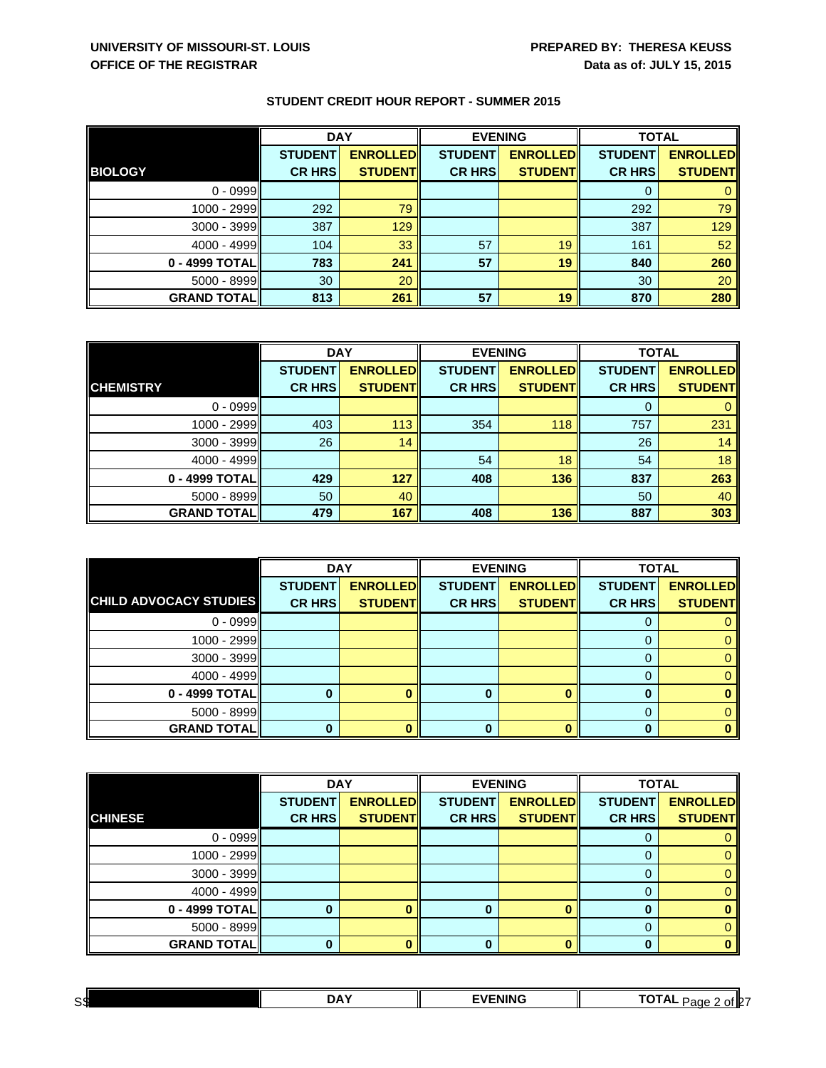|                    | <b>DAY</b>     |                  | <b>EVENING</b> |                 | <b>TOTAL</b>   |                 |
|--------------------|----------------|------------------|----------------|-----------------|----------------|-----------------|
|                    | <b>STUDENT</b> | <b>ENROLLEDI</b> | <b>STUDENT</b> | <b>ENROLLED</b> | <b>STUDENT</b> | <b>ENROLLED</b> |
| <b>BIOLOGY</b>     | <b>CR HRS</b>  | <b>STUDENT</b>   | <b>CR HRS</b>  | <b>STUDENT</b>  | <b>CR HRS</b>  | <b>STUDENTI</b> |
| $0 - 0999$         |                |                  |                |                 | O              |                 |
| 1000 - 2999        | 292            | 79               |                |                 | 292            | 79              |
| $3000 - 3999$      | 387            | 129              |                |                 | 387            | 129             |
| $4000 - 4999$      | 104            | 33               | 57             | 19              | 161            | 52              |
| 0 - 4999 TOTAL     | 783            | 241              | 57             | 19              | 840            | 260             |
| 5000 - 8999        | 30             | 20               |                |                 | 30             | 20              |
| <b>GRAND TOTAL</b> | 813            | 261              | 57             | 19              | 870            | 280             |

|                     | <b>DAY</b>     |                 | <b>EVENING</b> |                 | <b>TOTAL</b>   |                 |
|---------------------|----------------|-----------------|----------------|-----------------|----------------|-----------------|
|                     | <b>STUDENT</b> | <b>ENROLLED</b> | <b>STUDENT</b> | <b>ENROLLED</b> | <b>STUDENT</b> | <b>ENROLLED</b> |
| <b>CHEMISTRY</b>    | <b>CR HRS</b>  | <b>STUDENT</b>  | <b>CR HRS</b>  | <b>STUDENT</b>  | <b>CR HRS</b>  | <b>STUDENT</b>  |
| $0 - 0999$          |                |                 |                |                 |                |                 |
| 1000 - 2999         | 403            | 113             | 354            | 118             | 757            | 231             |
| $3000 - 3999$       | 26             | 14              |                |                 | 26             | 14              |
| $4000 - 4999$       |                |                 | 54             | 18              | 54             | 18              |
| 0 - 4999 TOTAL      | 429            | 127             | 408            | 136             | 837            | 263             |
| $5000 - 8999$       | 50             | 40              |                |                 | 50             | 40              |
| <b>GRAND TOTALI</b> | 479            | 167             | 408            | 136             | 887            | 303             |

|                               | <b>DAY</b>     |                 | <b>EVENING</b> |                 | <b>TOTAL</b>   |                 |
|-------------------------------|----------------|-----------------|----------------|-----------------|----------------|-----------------|
|                               | <b>STUDENT</b> | <b>ENROLLED</b> | <b>STUDENT</b> | <b>ENROLLED</b> | <b>STUDENT</b> | <b>ENROLLED</b> |
| <b>CHILD ADVOCACY STUDIES</b> | <b>CR HRS</b>  | <b>STUDENT</b>  | <b>CR HRS</b>  | <b>STUDENT</b>  | <b>CR HRS</b>  | <b>STUDENT</b>  |
| $0 - 0999$                    |                |                 |                |                 |                |                 |
| 1000 - 2999                   |                |                 |                |                 |                |                 |
| 3000 - 3999                   |                |                 |                |                 | 0              |                 |
| $4000 - 4999$                 |                |                 |                |                 |                |                 |
| 0 - 4999 TOTAL                |                |                 |                |                 | 0              |                 |
| 5000 - 8999                   |                |                 |                |                 | 0              |                 |
| <b>GRAND TOTAL</b>            |                |                 |                | n               | n              |                 |

|                    | <b>DAY</b>     |                 | <b>EVENING</b> |                 | <b>TOTAL</b>   |                 |
|--------------------|----------------|-----------------|----------------|-----------------|----------------|-----------------|
|                    | <b>STUDENT</b> | <b>ENROLLED</b> | <b>STUDENT</b> | <b>ENROLLED</b> | <b>STUDENT</b> | <b>ENROLLED</b> |
| <b>CHINESE</b>     | <b>CR HRS</b>  | <b>STUDENT</b>  | <b>CR HRS</b>  | <b>STUDENT</b>  | <b>CR HRS</b>  | <b>STUDENT</b>  |
| $0 - 0999$         |                |                 |                |                 | U              |                 |
| 1000 - 2999        |                |                 |                |                 |                |                 |
| 3000 - 3999        |                |                 |                |                 |                |                 |
| $4000 - 4999$      |                |                 |                |                 |                |                 |
| 0 - 4999 TOTAL     |                |                 | 0              | o               | 0              |                 |
| $5000 - 8999$      |                |                 |                |                 |                |                 |
| <b>GRAND TOTAL</b> |                |                 |                |                 |                |                 |

| c di<br>ست | -- | -- --- - - | _ _ _<br>of <b>I</b> 2<br>$\mathbf{r}$<br>'ane<br>∼ |  |
|------------|----|------------|-----------------------------------------------------|--|
|            |    |            |                                                     |  |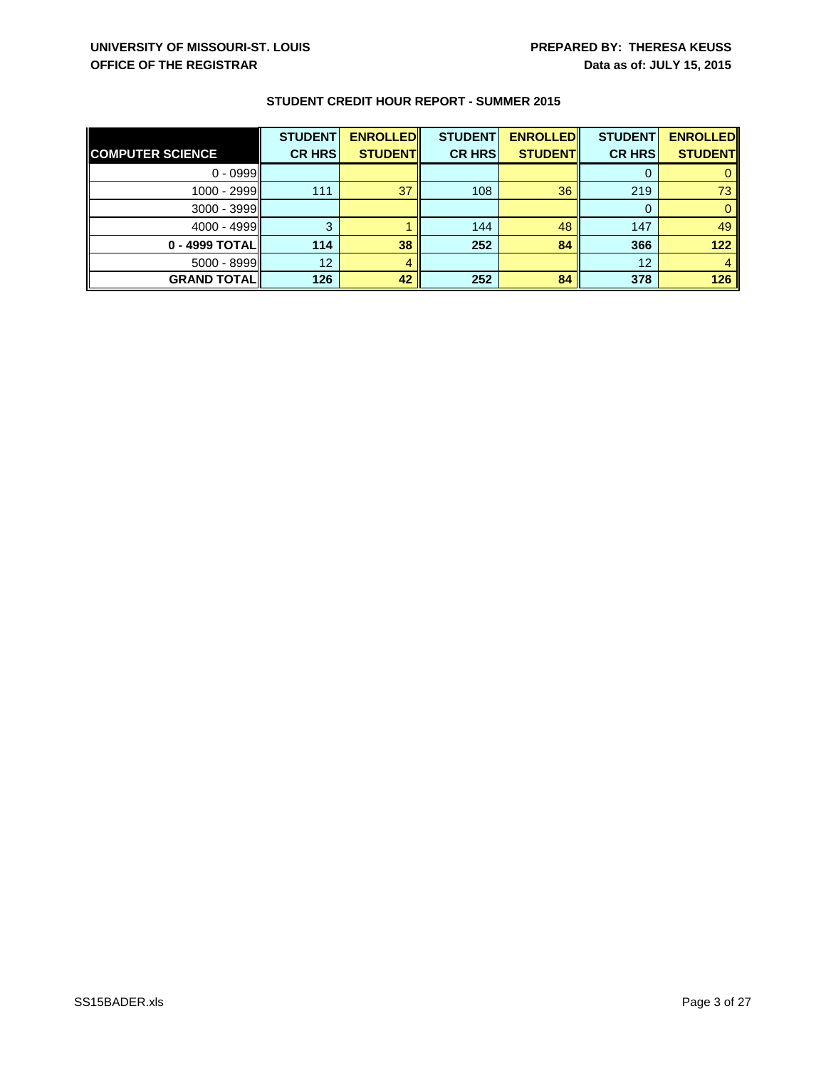|                         | <b>STUDENT</b> | <b>ENROLLED</b> | <b>STUDENT</b> | <b>ENROLLED</b> | <b>STUDENT</b> | <b>ENROLLED</b> |
|-------------------------|----------------|-----------------|----------------|-----------------|----------------|-----------------|
| <b>COMPUTER SCIENCE</b> | <b>CR HRS</b>  | <b>STUDENT</b>  | <b>CR HRS</b>  | <b>STUDENT</b>  | <b>CR HRSI</b> | <b>STUDENT</b>  |
| $0 - 0999$              |                |                 |                |                 |                |                 |
| 1000 - 2999             | 111            | 37              | 108            | 36              | 219            | 73              |
| 3000 - 3999             |                |                 |                |                 | 0              |                 |
| $4000 - 4999$           |                |                 | 144            | 48              | 147            | 49              |
| 0 - 4999 TOTAL          | 114            | 38              | 252            | 84              | 366            | 122             |
| 5000 - 8999             | 12             |                 |                |                 | 12             |                 |
| <b>GRAND TOTALII</b>    | 126            | 42              | 252            | 84              | 378            | 126             |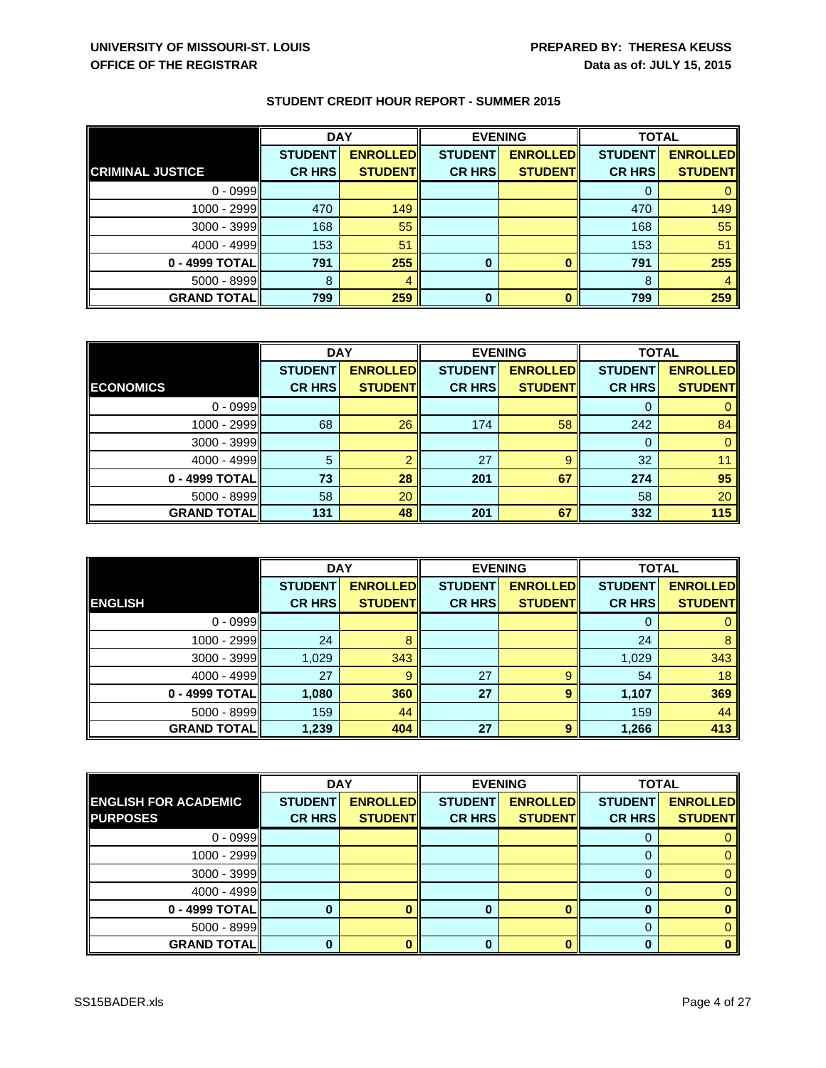|                         | <b>DAY</b>     |                 | <b>EVENING</b> |                 | <b>TOTAL</b>   |                 |
|-------------------------|----------------|-----------------|----------------|-----------------|----------------|-----------------|
|                         | <b>STUDENT</b> | <b>ENROLLED</b> | <b>STUDENT</b> | <b>ENROLLED</b> | <b>STUDENT</b> | <b>ENROLLED</b> |
| <b>CRIMINAL JUSTICE</b> | <b>CR HRS</b>  | <b>STUDENT</b>  | <b>CR HRS</b>  | <b>STUDENT</b>  | <b>CR HRS</b>  | <b>STUDENT</b>  |
| $0 - 0999$              |                |                 |                |                 | O              |                 |
| 1000 - 2999             | 470            | 149             |                |                 | 470            | 149             |
| $3000 - 3999$           | 168            | 55              |                |                 | 168            | 55              |
| $4000 - 4999$           | 153            | 51              |                |                 | 153            | 51              |
| 0 - 4999 TOTAL          | 791            | 255             | $\bf{0}$       |                 | 791            | 255             |
| 5000 - 8999             | 8              |                 |                |                 | 8              |                 |
| <b>GRAND TOTAL</b>      | 799            | 259             | 0              |                 | 799            | 259             |

|                    | <b>DAY</b>     |                 | <b>EVENING</b> |                 | <b>TOTAL</b>   |                 |
|--------------------|----------------|-----------------|----------------|-----------------|----------------|-----------------|
|                    | <b>STUDENT</b> | <b>ENROLLED</b> | <b>STUDENT</b> | <b>ENROLLED</b> | <b>STUDENT</b> | <b>ENROLLED</b> |
| <b>ECONOMICS</b>   | <b>CR HRS</b>  | <b>STUDENT</b>  | <b>CR HRS</b>  | <b>STUDENT</b>  | <b>CR HRS</b>  | <b>STUDENT</b>  |
| $0 - 0999$         |                |                 |                |                 |                |                 |
| 1000 - 2999        | 68             | 26              | 174            | 58              | 242            | 84              |
| 3000 - 3999        |                |                 |                |                 | 0              | $\mathbf{0}$    |
| 4000 - 4999        | 5              |                 | 27             | 9               | 32             | 11              |
| 0 - 4999 TOTAL     | 73             | 28              | 201            | 67              | 274            | 95              |
| $5000 - 8999$      | 58             | 20              |                |                 | 58             | 20              |
| <b>GRAND TOTAL</b> | 131            | 48              | 201            | 67              | 332            | 115             |

|                    | <b>DAY</b>     |                 | <b>EVENING</b> |                 | <b>TOTAL</b>   |                 |
|--------------------|----------------|-----------------|----------------|-----------------|----------------|-----------------|
|                    | <b>STUDENT</b> | <b>ENROLLED</b> | <b>STUDENT</b> | <b>ENROLLED</b> | <b>STUDENT</b> | <b>ENROLLED</b> |
| <b>ENGLISH</b>     | <b>CR HRS</b>  | <b>STUDENT</b>  | <b>CR HRS</b>  | <b>STUDENT</b>  | <b>CR HRS</b>  | <b>STUDENT</b>  |
| $0 - 0999$         |                |                 |                |                 | 0              |                 |
| 1000 - 2999        | 24             |                 |                |                 | 24             | 8               |
| 3000 - 3999        | 1,029          | 343             |                |                 | 1,029          | 343             |
| $4000 - 4999$      | 27             | 9               | 27             | 9               | 54             | 18              |
| 0 - 4999 TOTAL     | 1,080          | 360             | 27             | 9               | 1,107          | 369             |
| 5000 - 8999        | 159            | 44              |                |                 | 159            | 44              |
| <b>GRAND TOTAL</b> | 1,239          | 404             | 27             | 9               | 1,266          | 413             |

|                             | <b>DAY</b>     |                 | <b>EVENING</b> |                 | <b>TOTAL</b>   |                 |
|-----------------------------|----------------|-----------------|----------------|-----------------|----------------|-----------------|
| <b>ENGLISH FOR ACADEMIC</b> | <b>STUDENT</b> | <b>ENROLLED</b> | <b>STUDENT</b> | <b>ENROLLED</b> | <b>STUDENT</b> | <b>ENROLLED</b> |
| <b>PURPOSES</b>             | <b>CR HRS</b>  | <b>STUDENT</b>  | <b>CR HRS</b>  | <b>STUDENT</b>  | <b>CR HRS</b>  | <b>STUDENT</b>  |
| $0 - 0999$                  |                |                 |                |                 | U              |                 |
| 1000 - 2999                 |                |                 |                |                 |                |                 |
| 3000 - 3999                 |                |                 |                |                 |                |                 |
| $4000 - 4999$               |                |                 |                |                 | 0              |                 |
| 0 - 4999 TOTAL              |                |                 |                |                 |                |                 |
| $5000 - 8999$               |                |                 |                |                 |                |                 |
| <b>GRAND TOTAL</b>          |                |                 |                |                 | 0              | 0               |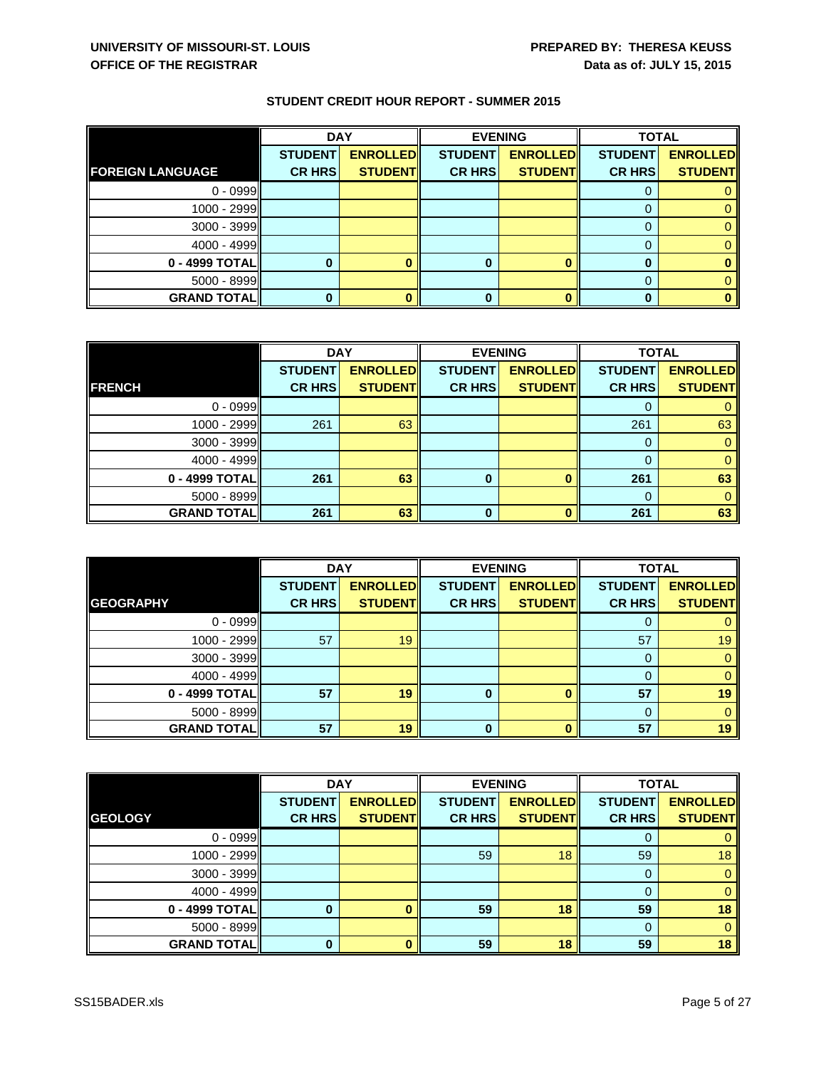|                         | <b>DAY</b>     |                 | <b>EVENING</b> |                 |                | <b>TOTAL</b>    |  |
|-------------------------|----------------|-----------------|----------------|-----------------|----------------|-----------------|--|
|                         | <b>STUDENT</b> | <b>ENROLLED</b> | <b>STUDENT</b> | <b>ENROLLED</b> | <b>STUDENT</b> | <b>ENROLLED</b> |  |
| <b>FOREIGN LANGUAGE</b> | <b>CR HRS</b>  | <b>STUDENT</b>  | <b>CR HRS</b>  | <b>STUDENT</b>  | <b>CR HRS</b>  | <b>STUDENT</b>  |  |
| $0 - 0999$              |                |                 |                |                 |                |                 |  |
| 1000 - 2999             |                |                 |                |                 |                |                 |  |
| 3000 - 3999             |                |                 |                |                 |                |                 |  |
| $4000 - 4999$           |                |                 |                |                 |                |                 |  |
| 0 - 4999 TOTAL          |                |                 | 0              |                 | 0              |                 |  |
| $5000 - 8999$           |                |                 |                |                 |                |                 |  |
| <b>GRAND TOTAL</b>      |                |                 | 0              |                 |                |                 |  |

|                    | <b>DAY</b>     |                 | <b>EVENING</b> |                 | <b>TOTAL</b>   |                 |
|--------------------|----------------|-----------------|----------------|-----------------|----------------|-----------------|
|                    | <b>STUDENT</b> | <b>ENROLLED</b> | <b>STUDENT</b> | <b>ENROLLED</b> | <b>STUDENT</b> | <b>ENROLLED</b> |
| <b>FRENCH</b>      | <b>CR HRS</b>  | <b>STUDENT</b>  | <b>CR HRS</b>  | <b>STUDENT</b>  | <b>CR HRS</b>  | <b>STUDENT</b>  |
| $0 - 0999$         |                |                 |                |                 |                |                 |
| 1000 - 2999        | 261            | 63              |                |                 | 261            | 63              |
| $3000 - 3999$      |                |                 |                |                 | 0              | 0               |
| 4000 - 4999        |                |                 |                |                 |                | $\Omega$        |
| 0 - 4999 TOTAL     | 261            | 63              | $\bf{0}$       |                 | 261            | 63              |
| 5000 - 8999        |                |                 |                |                 | $\Omega$       | 0               |
| <b>GRAND TOTAL</b> | 261            | 63              | $\bf{0}$       |                 | 261            | 63              |

|                    | <b>DAY</b>     |                 |                | <b>EVENING</b>  | <b>TOTAL</b>   |                 |
|--------------------|----------------|-----------------|----------------|-----------------|----------------|-----------------|
|                    | <b>STUDENT</b> | <b>ENROLLED</b> | <b>STUDENT</b> | <b>ENROLLED</b> | <b>STUDENT</b> | <b>ENROLLED</b> |
| <b>GEOGRAPHY</b>   | <b>CR HRS</b>  | <b>STUDENT</b>  | <b>CR HRS</b>  | <b>STUDENT</b>  | <b>CR HRS</b>  | <b>STUDENT</b>  |
| $0 - 0999$         |                |                 |                |                 |                |                 |
| 1000 - 2999        | 57             | 19              |                |                 | 57             | 19              |
| 3000 - 3999        |                |                 |                |                 | 0              |                 |
| 4000 - 4999        |                |                 |                |                 | $\Omega$       |                 |
| 0 - 4999 TOTAL     | 57             | 19              | $\bf{0}$       |                 | 57             | 19              |
| 5000 - 8999        |                |                 |                |                 | 0              |                 |
| <b>GRAND TOTAL</b> | 57             | 19              | n              |                 | 57             | 19              |

|                    | <b>DAY</b>     |                 | <b>EVENING</b> |                 | <b>TOTAL</b>   |                 |
|--------------------|----------------|-----------------|----------------|-----------------|----------------|-----------------|
|                    | <b>STUDENT</b> | <b>ENROLLED</b> | <b>STUDENT</b> | <b>ENROLLED</b> | <b>STUDENT</b> | <b>ENROLLED</b> |
| <b>GEOLOGY</b>     | <b>CR HRS</b>  | <b>STUDENTI</b> | <b>CR HRS</b>  | <b>STUDENT</b>  | <b>CR HRS</b>  | <b>STUDENT</b>  |
| $0 - 0999$         |                |                 |                |                 | O              |                 |
| 1000 - 2999        |                |                 | 59             | 18              | 59             | 18 <sup>°</sup> |
| 3000 - 3999        |                |                 |                |                 | 0              |                 |
| $4000 - 4999$      |                |                 |                |                 | 0              |                 |
| 0 - 4999 TOTAL     |                |                 | 59             | 18              | 59             | 18              |
| 5000 - 8999        |                |                 |                |                 | 0              |                 |
| <b>GRAND TOTAL</b> |                |                 | 59             | 18              | 59             | 18 <sub>1</sub> |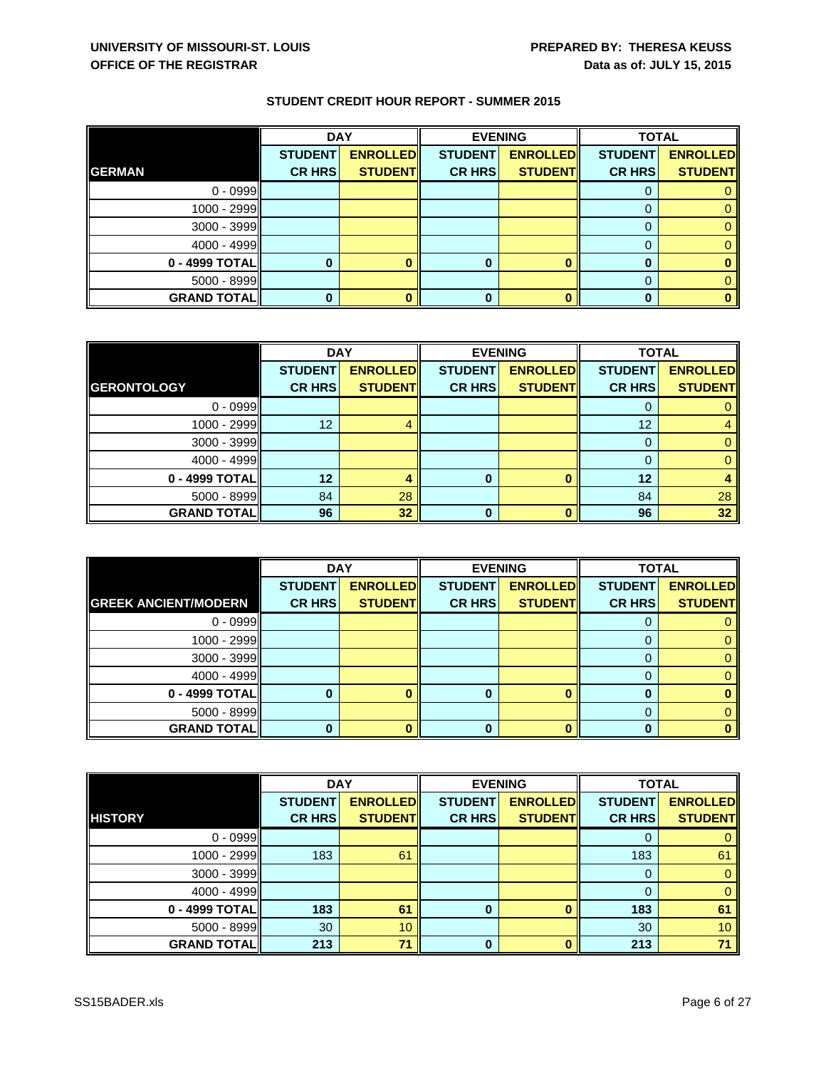|                    | <b>DAY</b>     |                 |                | <b>EVENING</b>  | <b>TOTAL</b>   |                 |
|--------------------|----------------|-----------------|----------------|-----------------|----------------|-----------------|
|                    | <b>STUDENT</b> | <b>ENROLLED</b> | <b>STUDENT</b> | <b>ENROLLED</b> | <b>STUDENT</b> | <b>ENROLLED</b> |
| <b>GERMAN</b>      | <b>CR HRS</b>  | <b>STUDENT</b>  | <b>CR HRS</b>  | <b>STUDENT</b>  | <b>CR HRS</b>  | <b>STUDENT</b>  |
| $0 - 0999$         |                |                 |                |                 | υ              |                 |
| 1000 - 2999        |                |                 |                |                 |                |                 |
| 3000 - 3999        |                |                 |                |                 | 0              |                 |
| 4000 - 4999        |                |                 |                |                 | 0              |                 |
| 0 - 4999 TOTAL     |                |                 |                |                 |                |                 |
| $5000 - 8999$      |                |                 |                |                 | 0              |                 |
| <b>GRAND TOTAL</b> |                |                 |                |                 | 0              | 0               |

|                      | <b>DAY</b>     |                 | <b>EVENING</b> |                 | <b>TOTAL</b>   |                 |
|----------------------|----------------|-----------------|----------------|-----------------|----------------|-----------------|
|                      | <b>STUDENT</b> | <b>ENROLLED</b> | <b>STUDENT</b> | <b>ENROLLED</b> | <b>STUDENT</b> | <b>ENROLLED</b> |
| <b>GERONTOLOGY</b>   | <b>CR HRS</b>  | <b>STUDENT</b>  | <b>CR HRS</b>  | <b>STUDENT</b>  | <b>CR HRS</b>  | <b>STUDENT</b>  |
| $0 - 0999$           |                |                 |                |                 |                |                 |
| $1000 - 2999$        | 12             |                 |                |                 | 12             |                 |
| $3000 - 3999$        |                |                 |                |                 | O              |                 |
| 4000 - 4999          |                |                 |                |                 |                | 0               |
| 0 - 4999 TOTAL       | 12             |                 | 0              |                 | 12             |                 |
| 5000 - 8999          | 84             | 28              |                |                 | 84             | 28              |
| <b>GRAND TOTAL  </b> | 96             | 32              | U              |                 | 96             | 32              |

|                             | <b>DAY</b>     |                 |                | <b>EVENING</b>  | <b>TOTAL</b>   |                 |
|-----------------------------|----------------|-----------------|----------------|-----------------|----------------|-----------------|
|                             | <b>STUDENT</b> | <b>ENROLLED</b> | <b>STUDENT</b> | <b>ENROLLED</b> | <b>STUDENT</b> | <b>ENROLLED</b> |
| <b>GREEK ANCIENT/MODERN</b> | <b>CR HRS</b>  | <b>STUDENT</b>  | <b>CR HRS</b>  | <b>STUDENT</b>  | <b>CR HRS</b>  | <b>STUDENT</b>  |
| $0 - 0999$                  |                |                 |                |                 |                |                 |
| $1000 - 2999$               |                |                 |                |                 | 0              |                 |
| 3000 - 3999                 |                |                 |                |                 | 0              |                 |
| $4000 - 4999$               |                |                 |                |                 |                |                 |
| 0 - 4999 TOTAL              |                |                 | 0              |                 | 0              |                 |
| 5000 - 8999                 |                |                 |                |                 | 0              |                 |
| <b>GRAND TOTAL</b>          |                |                 |                |                 | ŋ              |                 |

|                    | <b>DAY</b>     |                 |                | <b>EVENING</b>  | <b>TOTAL</b>   |                 |
|--------------------|----------------|-----------------|----------------|-----------------|----------------|-----------------|
|                    | <b>STUDENT</b> | <b>ENROLLED</b> | <b>STUDENT</b> | <b>ENROLLED</b> | <b>STUDENT</b> | <b>ENROLLED</b> |
| <b>HISTORY</b>     | <b>CR HRS</b>  | <b>STUDENTI</b> | <b>CR HRS</b>  | <b>STUDENT</b>  | <b>CR HRS</b>  | <b>STUDENT</b>  |
| $0 - 0999$         |                |                 |                |                 |                |                 |
| $1000 - 2999$      | 183            | 61              |                |                 | 183            | 61              |
| 3000 - 3999        |                |                 |                |                 | 0              |                 |
| 4000 - 4999        |                |                 |                |                 | $\Omega$       |                 |
| 0 - 4999 TOTAL     | 183            | 61              | 0              |                 | 183            | 61              |
| 5000 - 8999        | 30             | 10              |                |                 | 30             | 10 <sup>°</sup> |
| <b>GRAND TOTAL</b> | 213            | 71              | 0              |                 | 213            | 71              |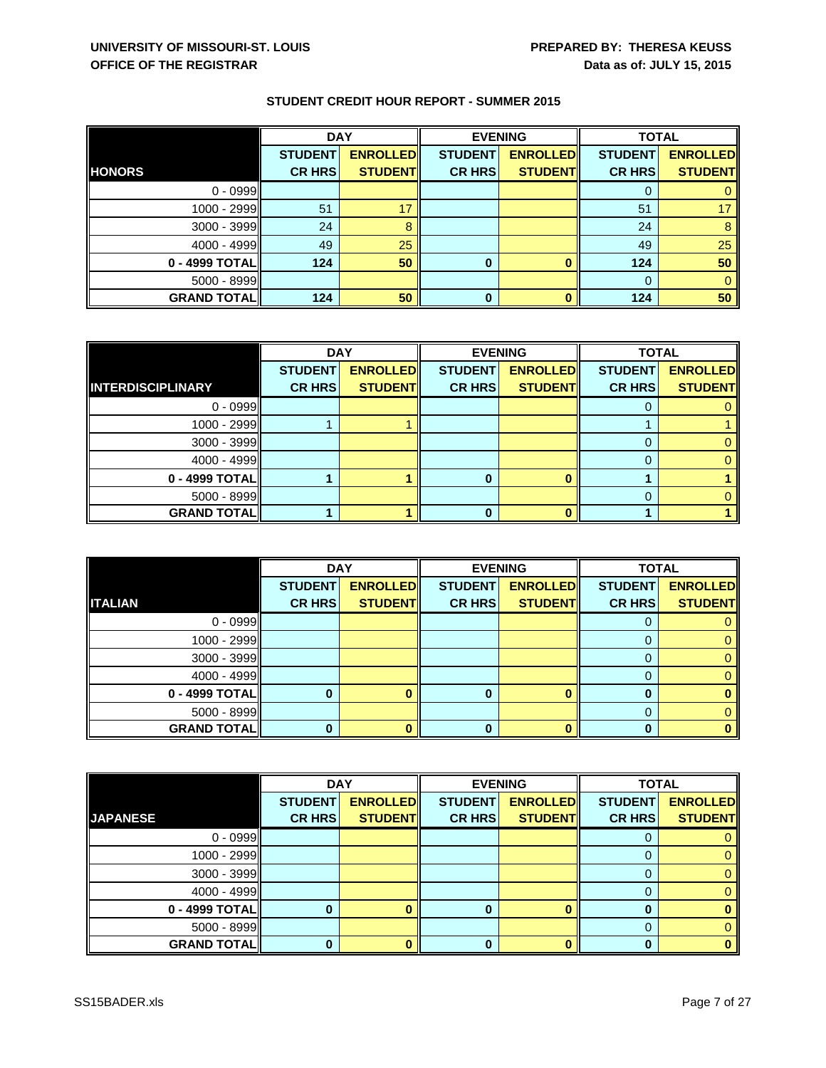|                    | <b>DAY</b>     |                 | <b>EVENING</b> |                 | <b>TOTAL</b>   |                 |
|--------------------|----------------|-----------------|----------------|-----------------|----------------|-----------------|
|                    | <b>STUDENT</b> | <b>ENROLLED</b> | <b>STUDENT</b> | <b>ENROLLED</b> | <b>STUDENT</b> | <b>ENROLLED</b> |
| <b>HONORS</b>      | <b>CR HRS</b>  | <b>STUDENT</b>  | <b>CR HRS</b>  | <b>STUDENT</b>  | <b>CR HRS</b>  | <b>STUDENT</b>  |
| $0 - 0999$         |                |                 |                |                 | 0              |                 |
| 1000 - 2999        | 51             | 17              |                |                 | 51             | 17              |
| 3000 - 3999        | 24             |                 |                |                 | 24             | 8               |
| $4000 - 4999$      | 49             | 25              |                |                 | 49             | 25              |
| 0 - 4999 TOTAL     | 124            | 50              |                |                 | 124            | 50              |
| 5000 - 8999        |                |                 |                |                 | 0              |                 |
| <b>GRAND TOTAL</b> | 124            | 50              | 0              |                 | 124            | 50              |

|                          | <b>DAY</b>     |                 | <b>EVENING</b> |                 | <b>TOTAL</b>   |                 |
|--------------------------|----------------|-----------------|----------------|-----------------|----------------|-----------------|
|                          | <b>STUDENT</b> | <b>ENROLLED</b> | <b>STUDENT</b> | <b>ENROLLED</b> | <b>STUDENT</b> | <b>ENROLLED</b> |
| <b>INTERDISCIPLINARY</b> | <b>CR HRS</b>  | <b>STUDENT</b>  | <b>CR HRS</b>  | <b>STUDENT</b>  | <b>CR HRS</b>  | <b>STUDENT</b>  |
| $0 - 0999$               |                |                 |                |                 |                |                 |
| 1000 - 2999              |                |                 |                |                 |                |                 |
| $3000 - 3999$            |                |                 |                |                 |                |                 |
| $4000 - 4999$            |                |                 |                |                 |                |                 |
| 0 - 4999 TOTAL           |                |                 |                |                 |                |                 |
| $5000 - 8999$            |                |                 |                |                 |                |                 |
| <b>GRAND TOTAL</b>       |                |                 | O              |                 |                |                 |

|                    | <b>DAY</b>     |                 | <b>EVENING</b> |                 | <b>TOTAL</b>   |                 |
|--------------------|----------------|-----------------|----------------|-----------------|----------------|-----------------|
|                    | <b>STUDENT</b> | <b>ENROLLED</b> | <b>STUDENT</b> | <b>ENROLLED</b> | <b>STUDENT</b> | <b>ENROLLED</b> |
| <b>ITALIAN</b>     | <b>CR HRS</b>  | <b>STUDENT</b>  | <b>CR HRS</b>  | <b>STUDENT</b>  | <b>CR HRS</b>  | <b>STUDENT</b>  |
| $0 - 0999$         |                |                 |                |                 | O              |                 |
| 1000 - 2999        |                |                 |                |                 | 0              |                 |
| $3000 - 3999$      |                |                 |                |                 | 0              |                 |
| $4000 - 4999$      |                |                 |                |                 | 0              |                 |
| 0 - 4999 TOTAL     |                |                 | 0              | o               | $\bf{0}$       |                 |
| $5000 - 8999$      |                |                 |                |                 | 0              |                 |
| <b>GRAND TOTAL</b> |                |                 |                |                 | ŋ              |                 |

|                    | <b>DAY</b>     |                 | <b>EVENING</b> |                 | <b>TOTAL</b>   |                 |
|--------------------|----------------|-----------------|----------------|-----------------|----------------|-----------------|
|                    | <b>STUDENT</b> | <b>ENROLLED</b> | <b>STUDENT</b> | <b>ENROLLED</b> | <b>STUDENT</b> | <b>ENROLLED</b> |
| <b>JAPANESE</b>    | <b>CR HRS</b>  | <b>STUDENT</b>  | <b>CR HRS</b>  | <b>STUDENT</b>  | <b>CR HRS</b>  | <b>STUDENT</b>  |
| $0 - 0999$         |                |                 |                |                 | O              |                 |
| $1000 - 2999$      |                |                 |                |                 | 0              |                 |
| 3000 - 3999        |                |                 |                |                 | 0              |                 |
| 4000 - 4999        |                |                 |                |                 | 0              |                 |
| 0 - 4999 TOTAL     |                |                 |                |                 | 0              |                 |
| 5000 - 8999        |                |                 |                |                 | 0              |                 |
| <b>GRAND TOTAL</b> |                |                 | 0              |                 | 0              |                 |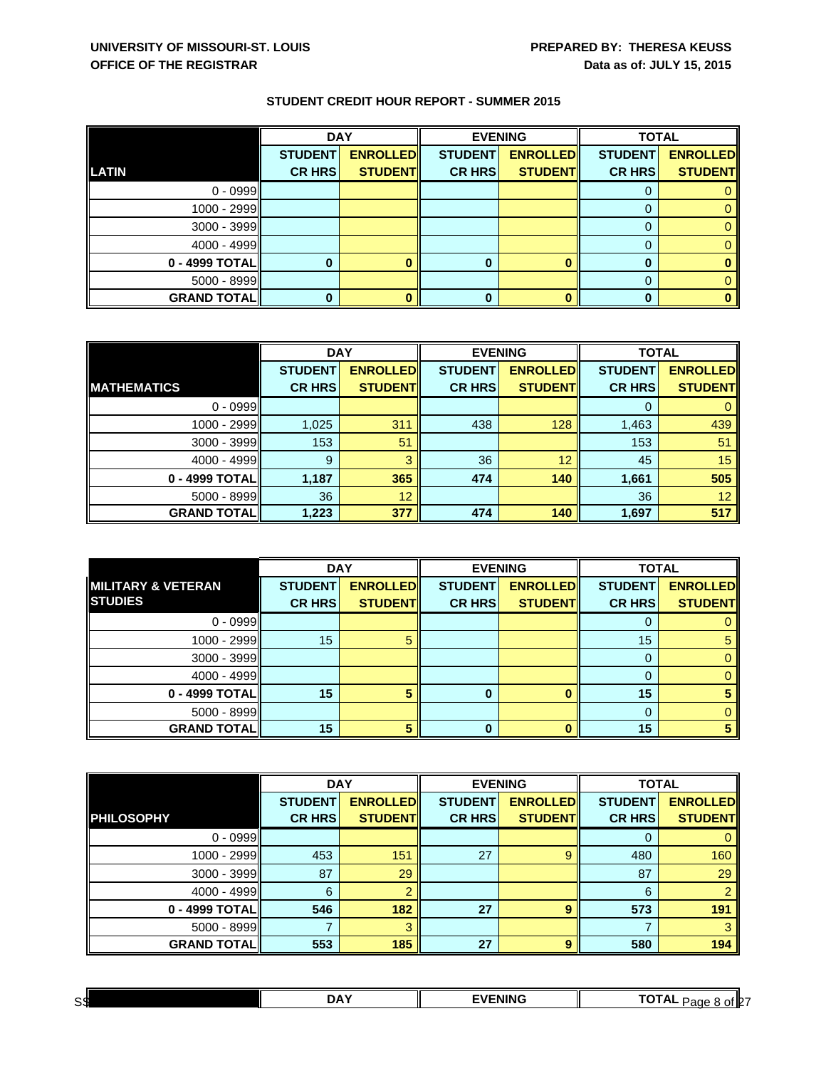|                    | <b>DAY</b>     |                 | <b>EVENING</b> |                 | <b>TOTAL</b>   |                 |
|--------------------|----------------|-----------------|----------------|-----------------|----------------|-----------------|
|                    | <b>STUDENT</b> | <b>ENROLLED</b> | <b>STUDENT</b> | <b>ENROLLED</b> | <b>STUDENT</b> | <b>ENROLLED</b> |
| <b>LATIN</b>       | <b>CR HRS</b>  | <b>STUDENT</b>  | <b>CR HRS</b>  | <b>STUDENT</b>  | <b>CR HRS</b>  | <b>STUDENT</b>  |
| $0 - 0999$         |                |                 |                |                 | U              |                 |
| 1000 - 2999        |                |                 |                |                 |                |                 |
| 3000 - 3999        |                |                 |                |                 | 0              |                 |
| 4000 - 4999        |                |                 |                |                 | 0              |                 |
| 0 - 4999 TOTAL     |                |                 |                |                 |                |                 |
| $5000 - 8999$      |                |                 |                |                 | 0              |                 |
| <b>GRAND TOTAL</b> |                |                 |                |                 |                | 0               |

|                    | <b>DAY</b>     |                 | <b>EVENING</b> |                 | <b>TOTAL</b>   |                 |
|--------------------|----------------|-----------------|----------------|-----------------|----------------|-----------------|
|                    | <b>STUDENT</b> | <b>ENROLLED</b> | <b>STUDENT</b> | <b>ENROLLED</b> | <b>STUDENT</b> | <b>ENROLLED</b> |
| <b>MATHEMATICS</b> | <b>CR HRS</b>  | <b>STUDENT</b>  | <b>CR HRS</b>  | <b>STUDENT</b>  | <b>CR HRS</b>  | <b>STUDENT</b>  |
| $0 - 0999$         |                |                 |                |                 |                |                 |
| 1000 - 2999        | 1,025          | 311             | 438            | 128             | 1,463          | 439             |
| 3000 - 3999        | 153            | 51              |                |                 | 153            | 51              |
| $4000 - 4999$      | 9              |                 | 36             | 12              | 45             | 15              |
| 0 - 4999 TOTAL     | 1,187          | 365             | 474            | 140             | 1,661          | 505             |
| $5000 - 8999$      | 36             | 12              |                |                 | 36             | 12 <sup>°</sup> |
| <b>GRAND TOTAL</b> | 1,223          | 377             | 474            | 140             | 1,697          | 517             |

|                               | <b>DAY</b>     |                 |                | <b>EVENING</b>  | <b>TOTAL</b>   |                 |
|-------------------------------|----------------|-----------------|----------------|-----------------|----------------|-----------------|
| <b>MILITARY &amp; VETERAN</b> | <b>STUDENT</b> | <b>ENROLLED</b> | <b>STUDENT</b> | <b>ENROLLED</b> | <b>STUDENT</b> | <b>ENROLLED</b> |
| <b>STUDIES</b>                | <b>CR HRS</b>  | <b>STUDENT</b>  | <b>CR HRS</b>  | <b>STUDENT</b>  | <b>CR HRS</b>  | <b>STUDENT</b>  |
| $0 - 0999$                    |                |                 |                |                 |                |                 |
| 1000 - 2999                   | 15             |                 |                |                 | 15             |                 |
| 3000 - 3999                   |                |                 |                |                 | 0              |                 |
| $4000 - 4999$                 |                |                 |                |                 |                |                 |
| 0 - 4999 TOTAL                | 15             |                 |                |                 | 15             |                 |
| 5000 - 8999                   |                |                 |                |                 | 0              |                 |
| <b>GRAND TOTAL</b>            | 15             |                 |                | n               | 15             |                 |

|                    | <b>DAY</b>     |                 | <b>EVENING</b> |                 | <b>TOTAL</b>   |                 |
|--------------------|----------------|-----------------|----------------|-----------------|----------------|-----------------|
|                    | <b>STUDENT</b> | <b>ENROLLED</b> | <b>STUDENT</b> | <b>ENROLLED</b> | <b>STUDENT</b> | <b>ENROLLED</b> |
| <b>PHILOSOPHY</b>  | <b>CR HRS</b>  | <b>STUDENT</b>  | <b>CR HRS</b>  | <b>STUDENT</b>  | <b>CR HRS</b>  | <b>STUDENT</b>  |
| $0 - 0999$         |                |                 |                |                 | O              |                 |
| 1000 - 2999        | 453            | 151             | 27             | 9               | 480            | 160             |
| 3000 - 3999        | 87             | 29              |                |                 | 87             | 29              |
| $4000 - 4999$      | 6              |                 |                |                 | 6              |                 |
| 0 - 4999 TOTAL     | 546            | 182             | 27             | 9               | 573            | 191             |
| 5000 - 8999        |                |                 |                |                 |                |                 |
| <b>GRAND TOTAL</b> | 553            | 185             | 27             | 9               | 580            | 194             |

| сd<br>oч | nΔ | FNING<br><br> | _ _ _<br>of IPT<br>A<br>ane |
|----------|----|---------------|-----------------------------|
|          |    |               |                             |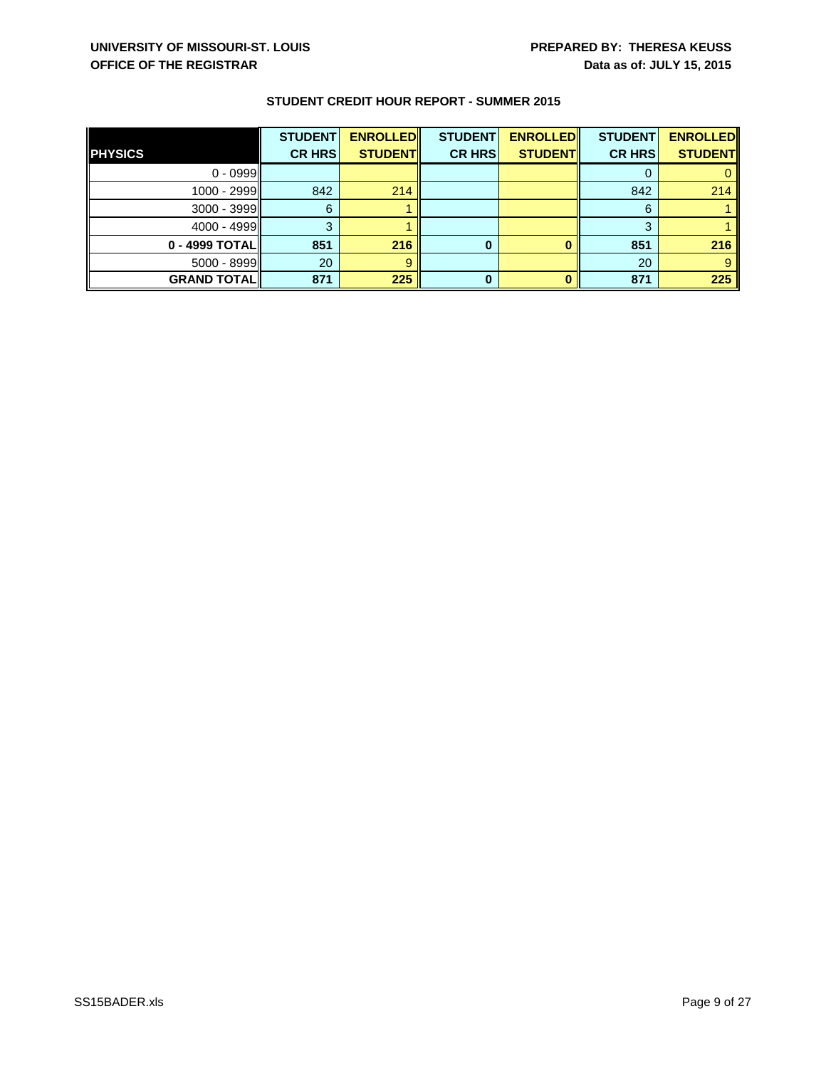|                    | <b>STUDENT</b> | <b>ENROLLED</b> | <b>STUDENT</b> | <b>ENROLLED</b> | <b>STUDENT</b> | <b>ENROLLED</b> |
|--------------------|----------------|-----------------|----------------|-----------------|----------------|-----------------|
| <b>PHYSICS</b>     | <b>CR HRS</b>  | <b>STUDENT</b>  | <b>CR HRS</b>  | <b>STUDENT</b>  | <b>CR HRS</b>  | <b>STUDENT</b>  |
| $0 - 0999$         |                |                 |                |                 |                |                 |
| 1000 - 2999        | 842            | 214             |                |                 | 842            | 214             |
| $3000 - 3999$      | 6              |                 |                |                 | 6              |                 |
| 4000 - 4999        |                |                 |                |                 | 2              |                 |
| 0 - 4999 TOTALI    | 851            | 216             |                |                 | 851            | 216             |
| $5000 - 8999$      | 20             |                 |                |                 | 20             | 9               |
| <b>GRAND TOTAL</b> | 871            | 225             |                |                 | 871            | 225             |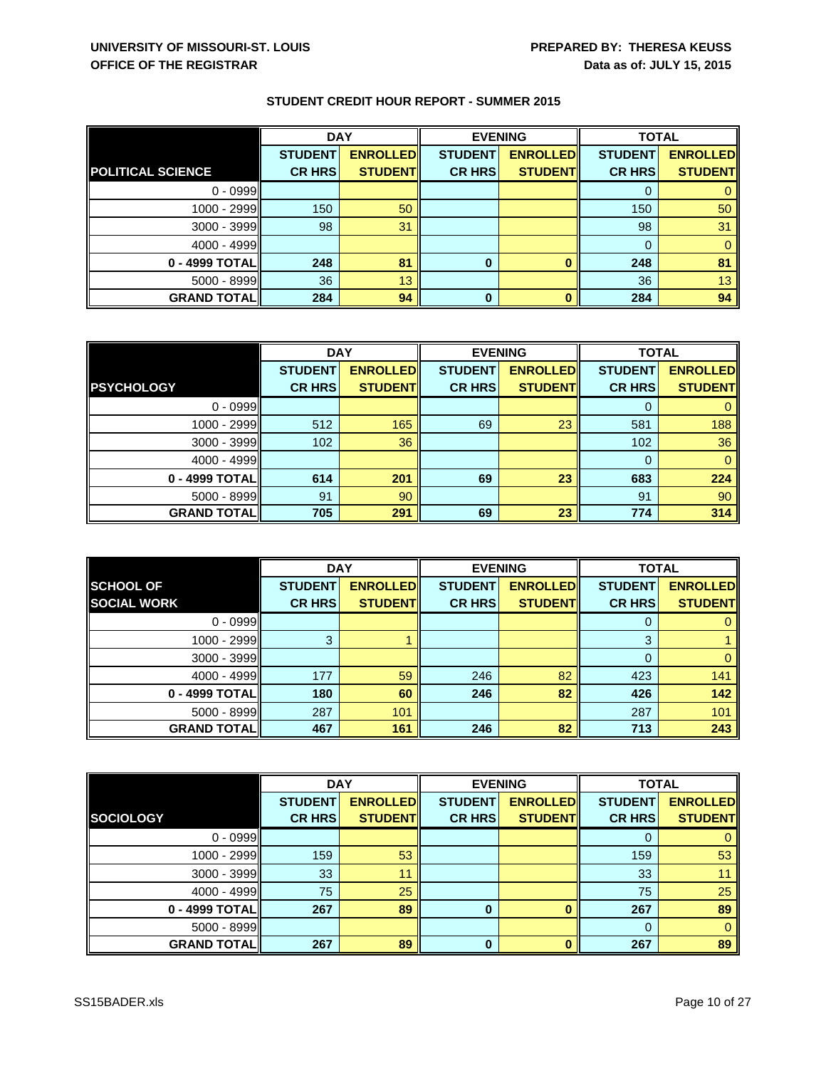|                          | <b>DAY</b>     |                 | <b>EVENING</b> |                 | <b>TOTAL</b>   |                 |
|--------------------------|----------------|-----------------|----------------|-----------------|----------------|-----------------|
|                          | <b>STUDENT</b> | <b>ENROLLED</b> | <b>STUDENT</b> | <b>ENROLLED</b> | <b>STUDENT</b> | <b>ENROLLED</b> |
| <b>POLITICAL SCIENCE</b> | <b>CR HRS</b>  | <b>STUDENT</b>  | <b>CR HRS</b>  | <b>STUDENT</b>  | <b>CR HRS</b>  | <b>STUDENT</b>  |
| $0 - 0999$               |                |                 |                |                 | O              |                 |
| 1000 - 2999              | 150            | 50              |                |                 | 150            | 50              |
| 3000 - 3999              | 98             | 31              |                |                 | 98             | 31              |
| $4000 - 4999$            |                |                 |                |                 | 0              |                 |
| 0 - 4999 TOTAL           | 248            | 81              |                |                 | 248            | 81              |
| 5000 - 8999              | 36             | 13              |                |                 | 36             | 13              |
| <b>GRAND TOTAL</b>       | 284            | 94              | 0              |                 | 284            | 94              |

|                     | <b>DAY</b>     |                 | <b>EVENING</b> |                 | <b>TOTAL</b>   |                 |
|---------------------|----------------|-----------------|----------------|-----------------|----------------|-----------------|
|                     | <b>STUDENT</b> | <b>ENROLLED</b> | <b>STUDENT</b> | <b>ENROLLED</b> | <b>STUDENT</b> | <b>ENROLLED</b> |
| <b>PSYCHOLOGY</b>   | <b>CR HRS</b>  | <b>STUDENT</b>  | <b>CR HRS</b>  | <b>STUDENT</b>  | <b>CR HRS</b>  | <b>STUDENT</b>  |
| $0 - 0999$          |                |                 |                |                 |                |                 |
| 1000 - 2999         | 512            | 165             | 69             | 23              | 581            | 188             |
| $3000 - 3999$       | 102            | 36              |                |                 | 102            | 36              |
| 4000 - 4999         |                |                 |                |                 | $\Omega$       | $\Omega$        |
| 0 - 4999 TOTAL      | 614            | 201             | 69             | 23              | 683            | 224             |
| $5000 - 8999$       | 91             | 90              |                |                 | 91             | 90              |
| <b>GRAND TOTALI</b> | 705            | 291             | 69             | 23              | 774            | 314             |

|                    | <b>DAY</b><br><b>EVENING</b> |                 |                | <b>TOTAL</b>    |                |                 |
|--------------------|------------------------------|-----------------|----------------|-----------------|----------------|-----------------|
| <b>SCHOOL OF</b>   | <b>STUDENT</b>               | <b>ENROLLED</b> | <b>STUDENT</b> | <b>ENROLLED</b> | <b>STUDENT</b> | <b>ENROLLED</b> |
| <b>SOCIAL WORK</b> | <b>CR HRS</b>                | <b>STUDENT</b>  | <b>CR HRS</b>  | <b>STUDENT</b>  | <b>CR HRS</b>  | <b>STUDENT</b>  |
| $0 - 0999$         |                              |                 |                |                 | 0              |                 |
| 1000 - 2999        | 3                            |                 |                |                 | 3              |                 |
| 3000 - 3999        |                              |                 |                |                 | 0              |                 |
| $4000 - 4999$      | 177                          | 59              | 246            | 82              | 423            | 141             |
| 0 - 4999 TOTAL     | 180                          | 60              | 246            | 82              | 426            | 142             |
| $5000 - 8999$      | 287                          | 101             |                |                 | 287            | 101             |
| <b>GRAND TOTAL</b> | 467                          | 161             | 246            | 82              | 713            | 243             |

|                    | <b>DAY</b>     |                 | <b>EVENING</b> |                 | <b>TOTAL</b>   |                 |
|--------------------|----------------|-----------------|----------------|-----------------|----------------|-----------------|
|                    | <b>STUDENT</b> | <b>ENROLLED</b> | <b>STUDENT</b> | <b>ENROLLED</b> | <b>STUDENT</b> | <b>ENROLLED</b> |
| <b>SOCIOLOGY</b>   | <b>CR HRS</b>  | <b>STUDENT</b>  | <b>CR HRS</b>  | <b>STUDENT</b>  | <b>CR HRS</b>  | <b>STUDENT</b>  |
| $0 - 0999$         |                |                 |                |                 | O              |                 |
| 1000 - 2999        | 159            | 53              |                |                 | 159            | 53              |
| 3000 - 3999        | 33             | 11              |                |                 | 33             |                 |
| $4000 - 4999$      | 75             | 25              |                |                 | 75             | 25              |
| 0 - 4999 TOTAL     | 267            | 89              | $\bf{0}$       |                 | 267            | 89              |
| 5000 - 8999        |                |                 |                |                 | $\Omega$       | 0               |
| <b>GRAND TOTAL</b> | 267            | 89              | 0              |                 | 267            | 89              |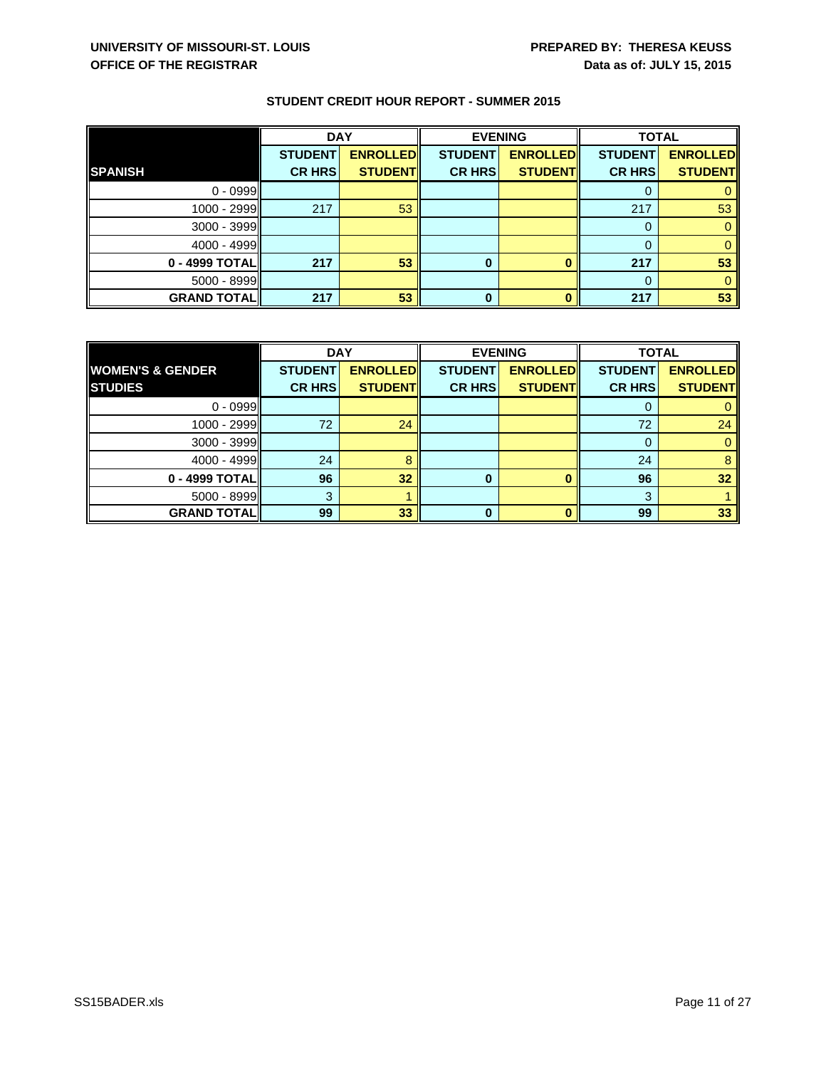|                    | <b>DAY</b>     |                 | <b>EVENING</b> |                 | <b>TOTAL</b>   |                 |
|--------------------|----------------|-----------------|----------------|-----------------|----------------|-----------------|
|                    | <b>STUDENT</b> | <b>ENROLLED</b> | <b>STUDENT</b> | <b>ENROLLED</b> | <b>STUDENT</b> | <b>ENROLLED</b> |
| <b>SPANISH</b>     | <b>CR HRS</b>  | <b>STUDENT</b>  | <b>CR HRS</b>  | <b>STUDENT</b>  | <b>CR HRS</b>  | <b>STUDENT</b>  |
| $0 - 0999$         |                |                 |                |                 | O              |                 |
| 1000 - 2999        | 217            | 53              |                |                 | 217            | 53              |
| 3000 - 3999        |                |                 |                |                 | 0              |                 |
| 4000 - 4999        |                |                 |                |                 | 0              |                 |
| 0 - 4999 TOTAL     | 217            | 53              | $\bf{0}$       | O               | 217            | 53              |
| 5000 - 8999        |                |                 |                |                 | $\Omega$       |                 |
| <b>GRAND TOTAL</b> | 217            | 53              | 0              |                 | 217            | 53              |

|                             | <b>DAY</b>     |                 | <b>EVENING</b> |                 | <b>TOTAL</b>   |                 |
|-----------------------------|----------------|-----------------|----------------|-----------------|----------------|-----------------|
| <b>WOMEN'S &amp; GENDER</b> | <b>STUDENT</b> | <b>ENROLLED</b> | <b>STUDENT</b> | <b>ENROLLED</b> | <b>STUDENT</b> | <b>ENROLLED</b> |
| <b>STUDIES</b>              | <b>CR HRS</b>  | <b>STUDENT</b>  | <b>CR HRS</b>  | <b>STUDENT</b>  | <b>CR HRS</b>  | <b>STUDENT</b>  |
| $0 - 0999$                  |                |                 |                |                 |                |                 |
| $1000 - 2999$               | 72             | 24              |                |                 | 72             | 24              |
| $3000 - 3999$               |                |                 |                |                 |                | 0               |
| $4000 - 4999$               | 24             |                 |                |                 | 24             | 8               |
| 0 - 4999 TOTAL              | 96             | 32              | 0              |                 | 96             | 32              |
| $5000 - 8999$               | 3              |                 |                |                 | 3              |                 |
| <b>GRAND TOTALI</b>         | 99             | 33              | 0              |                 | 99             | 33              |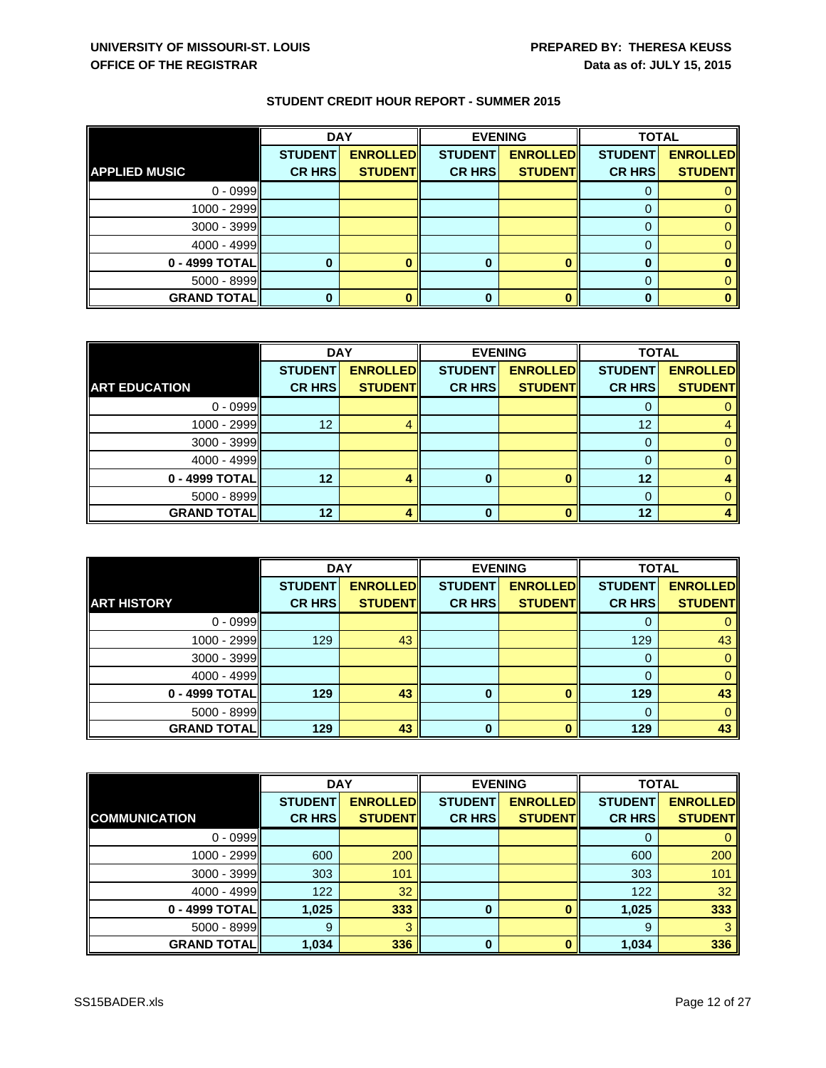|                      | <b>DAY</b>     |                 | <b>EVENING</b> |                 |                | <b>TOTAL</b>    |  |
|----------------------|----------------|-----------------|----------------|-----------------|----------------|-----------------|--|
|                      | <b>STUDENT</b> | <b>ENROLLED</b> | <b>STUDENT</b> | <b>ENROLLED</b> | <b>STUDENT</b> | <b>ENROLLED</b> |  |
| <b>APPLIED MUSIC</b> | <b>CR HRS</b>  | <b>STUDENT</b>  | <b>CR HRS</b>  | <b>STUDENT</b>  | <b>CR HRS</b>  | <b>STUDENT</b>  |  |
| $0 - 0999$           |                |                 |                |                 |                |                 |  |
| 1000 - 2999          |                |                 |                |                 |                |                 |  |
| 3000 - 3999          |                |                 |                |                 |                |                 |  |
| $4000 - 4999$        |                |                 |                |                 |                |                 |  |
| 0 - 4999 TOTAL       |                |                 | 0              |                 | 0              |                 |  |
| $5000 - 8999$        |                |                 |                |                 |                |                 |  |
| <b>GRAND TOTAL</b>   |                |                 | 0              |                 |                |                 |  |

|                      | <b>DAY</b>     |                 | <b>EVENING</b> |                 | <b>TOTAL</b>   |                 |
|----------------------|----------------|-----------------|----------------|-----------------|----------------|-----------------|
|                      | <b>STUDENT</b> | <b>ENROLLED</b> | <b>STUDENT</b> | <b>ENROLLED</b> | <b>STUDENT</b> | <b>ENROLLED</b> |
| <b>ART EDUCATION</b> | <b>CR HRS</b>  | <b>STUDENT</b>  | <b>CR HRS</b>  | <b>STUDENT</b>  | <b>CR HRS</b>  | <b>STUDENT</b>  |
| $0 - 0999$           |                |                 |                |                 |                |                 |
| $1000 - 2999$        | 12             |                 |                |                 | 12             |                 |
| $3000 - 3999$        |                |                 |                |                 |                |                 |
| $4000 - 4999$        |                |                 |                |                 |                |                 |
| 0 - 4999 TOTAL       | 12             |                 | U              |                 | 12             |                 |
| $5000 - 8999$        |                |                 |                |                 |                |                 |
| <b>GRAND TOTAL  </b> | 12             |                 | U              |                 | 12             |                 |

|                    | <b>DAY</b>     |                 | <b>EVENING</b> |                 | <b>TOTAL</b>   |                 |
|--------------------|----------------|-----------------|----------------|-----------------|----------------|-----------------|
|                    | <b>STUDENT</b> | <b>ENROLLED</b> | <b>STUDENT</b> | <b>ENROLLED</b> | <b>STUDENT</b> | <b>ENROLLED</b> |
| <b>ART HISTORY</b> | <b>CR HRS</b>  | <b>STUDENT</b>  | <b>CR HRS</b>  | <b>STUDENT</b>  | <b>CR HRS</b>  | <b>STUDENT</b>  |
| $0 - 0999$         |                |                 |                |                 |                |                 |
| $1000 - 2999$      | 129            | 43              |                |                 | 129            | 43              |
| $3000 - 3999$      |                |                 |                |                 | 0              |                 |
| $4000 - 4999$      |                |                 |                |                 | $\Omega$       |                 |
| 0 - 4999 TOTAL     | 129            | 43              | $\bf{0}$       | o               | 129            | 43              |
| $5000 - 8999$      |                |                 |                |                 | 0              |                 |
| <b>GRAND TOTAL</b> | 129            | 43              | <sup>0</sup>   | n               | 129            | 43              |

|                      | <b>DAY</b>     |                 | <b>EVENING</b> |                 | <b>TOTAL</b>   |                 |
|----------------------|----------------|-----------------|----------------|-----------------|----------------|-----------------|
|                      | <b>STUDENT</b> | <b>ENROLLED</b> | <b>STUDENT</b> | <b>ENROLLED</b> | <b>STUDENT</b> | <b>ENROLLED</b> |
| <b>COMMUNICATION</b> | <b>CR HRS</b>  | <b>STUDENT</b>  | <b>CR HRS</b>  | <b>STUDENT</b>  | <b>CR HRS</b>  | <b>STUDENT</b>  |
| $0 - 0999$           |                |                 |                |                 |                |                 |
| 1000 - 2999          | 600            | 200             |                |                 | 600            | 200             |
| 3000 - 3999          | 303            | 101             |                |                 | 303            | 101             |
| $4000 - 4999$        | 122            | 32              |                |                 | 122            | 32              |
| 0 - 4999 TOTAL       | 1,025          | 333             | $\bf{0}$       |                 | 1,025          | 333             |
| 5000 - 8999          | 9              |                 |                |                 | 9              |                 |
| <b>GRAND TOTAL</b>   | 1,034          | 336             | 0              |                 | 1,034          | 336             |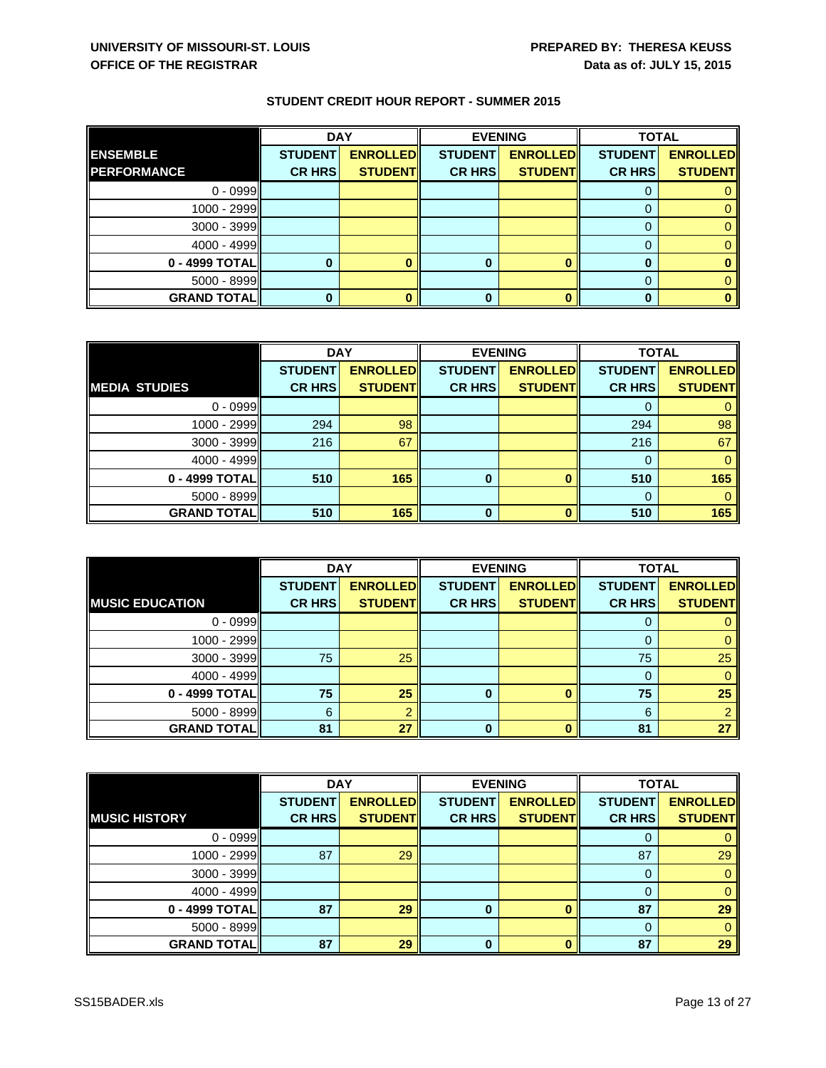|                    | <b>DAY</b>     |                 | <b>EVENING</b> |                 | <b>TOTAL</b>   |                 |
|--------------------|----------------|-----------------|----------------|-----------------|----------------|-----------------|
| <b>ENSEMBLE</b>    | <b>STUDENT</b> | <b>ENROLLED</b> | <b>STUDENT</b> | <b>ENROLLED</b> | <b>STUDENT</b> | <b>ENROLLED</b> |
| <b>PERFORMANCE</b> | <b>CR HRS</b>  | <b>STUDENT</b>  | <b>CR HRS</b>  | <b>STUDENT</b>  | <b>CR HRS</b>  | <b>STUDENT</b>  |
| $0 - 0999$         |                |                 |                |                 |                |                 |
| 1000 - 2999        |                |                 |                |                 |                |                 |
| 3000 - 3999        |                |                 |                |                 | 0              |                 |
| $4000 - 4999$      |                |                 |                |                 | 0              |                 |
| 0 - 4999 TOTAL     |                |                 |                |                 |                |                 |
| $5000 - 8999$      |                |                 |                |                 | 0              |                 |
| <b>GRAND TOTAL</b> |                |                 |                |                 | 0              | 0               |

|                      | <b>DAY</b>     |                 | <b>EVENING</b> |                 | <b>TOTAL</b>   |                 |
|----------------------|----------------|-----------------|----------------|-----------------|----------------|-----------------|
|                      | <b>STUDENT</b> | <b>ENROLLED</b> | <b>STUDENT</b> | <b>ENROLLED</b> | <b>STUDENT</b> | <b>ENROLLED</b> |
| <b>MEDIA STUDIES</b> | <b>CR HRS</b>  | <b>STUDENT</b>  | <b>CR HRS</b>  | <b>STUDENT</b>  | <b>CR HRS</b>  | <b>STUDENT</b>  |
| $0 - 0999$           |                |                 |                |                 |                |                 |
| 1000 - 2999          | 294            | 98              |                |                 | 294            | 98              |
| $3000 - 3999$        | 216            | 67              |                |                 | 216            | 67              |
| $4000 - 4999$        |                |                 |                |                 |                | $\Omega$        |
| 0 - 4999 TOTAL       | 510            | 165             | 0              |                 | 510            | 165             |
| $5000 - 8999$        |                |                 |                |                 |                |                 |
| <b>GRAND TOTAL</b>   | 510            | 165             | 0              |                 | 510            | 165             |

|                        | <b>DAY</b>     |                 | <b>EVENING</b> |                 | <b>TOTAL</b>   |                 |
|------------------------|----------------|-----------------|----------------|-----------------|----------------|-----------------|
|                        | <b>STUDENT</b> | <b>ENROLLED</b> | <b>STUDENT</b> | <b>ENROLLED</b> | <b>STUDENT</b> | <b>ENROLLED</b> |
| <b>MUSIC EDUCATION</b> | <b>CR HRS</b>  | <b>STUDENT</b>  | <b>CR HRS</b>  | <b>STUDENT</b>  | <b>CR HRS</b>  | <b>STUDENT</b>  |
| $0 - 0999$             |                |                 |                |                 | 0              |                 |
| 1000 - 2999            |                |                 |                |                 | 0              |                 |
| $3000 - 3999$          | 75             | 25              |                |                 | 75             | 25              |
| $4000 - 4999$          |                |                 |                |                 | 0              |                 |
| 0 - 4999 TOTAL         | 75             | 25              | $\bf{0}$       | 0               | 75             | 25              |
| $5000 - 8999$          | 6              |                 |                |                 | 6              |                 |
| <b>GRAND TOTAL</b>     | 81             | 27              |                | n               | 81             | 27              |

|                      | <b>DAY</b>     |                 | <b>EVENING</b> |                 |                | <b>TOTAL</b>    |  |
|----------------------|----------------|-----------------|----------------|-----------------|----------------|-----------------|--|
|                      | <b>STUDENT</b> | <b>ENROLLED</b> | <b>STUDENT</b> | <b>ENROLLED</b> | <b>STUDENT</b> | <b>ENROLLED</b> |  |
| <b>MUSIC HISTORY</b> | <b>CR HRS</b>  | <b>STUDENT</b>  | <b>CR HRS</b>  | <b>STUDENT</b>  | <b>CR HRS</b>  | <b>STUDENT</b>  |  |
| $0 - 0999$           |                |                 |                |                 | O              |                 |  |
| 1000 - 2999          | 87             | 29              |                |                 | 87             | 29              |  |
| 3000 - 3999          |                |                 |                |                 |                |                 |  |
| $4000 - 4999$        |                |                 |                |                 |                |                 |  |
| 0 - 4999 TOTAL       | 87             | 29              | $\bf{0}$       |                 | 87             | 29              |  |
| 5000 - 8999          |                |                 |                |                 | $\Omega$       |                 |  |
| <b>GRAND TOTAL</b>   | 87             | 29              | 0              |                 | 87             | 29              |  |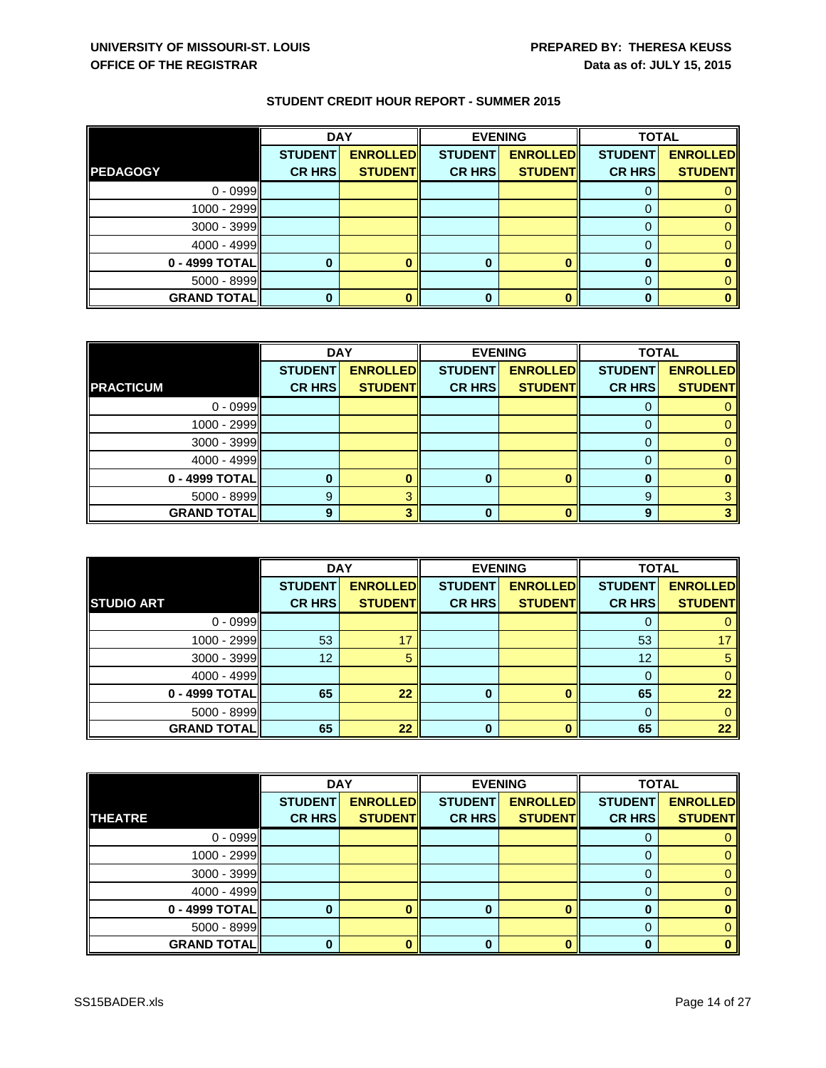|                    | <b>DAY</b>     |                 | <b>EVENING</b> |                 | <b>TOTAL</b>   |                 |
|--------------------|----------------|-----------------|----------------|-----------------|----------------|-----------------|
|                    | <b>STUDENT</b> | <b>ENROLLED</b> | <b>STUDENT</b> | <b>ENROLLED</b> | <b>STUDENT</b> | <b>ENROLLED</b> |
| <b>PEDAGOGY</b>    | <b>CR HRS</b>  | <b>STUDENT</b>  | <b>CR HRS</b>  | <b>STUDENT</b>  | <b>CR HRS</b>  | <b>STUDENT</b>  |
| $0 - 0999$         |                |                 |                |                 | U              |                 |
| 1000 - 2999        |                |                 |                |                 |                |                 |
| 3000 - 3999        |                |                 |                |                 | 0              |                 |
| 4000 - 4999        |                |                 |                |                 | 0              |                 |
| 0 - 4999 TOTAL     |                |                 |                |                 |                |                 |
| $5000 - 8999$      |                |                 |                |                 | 0              |                 |
| <b>GRAND TOTAL</b> |                |                 |                |                 |                | 0               |

|                    | <b>DAY</b>     |                 | <b>EVENING</b> |                 | <b>TOTAL</b>   |                 |
|--------------------|----------------|-----------------|----------------|-----------------|----------------|-----------------|
|                    | <b>STUDENT</b> | <b>ENROLLED</b> | <b>STUDENT</b> | <b>ENROLLED</b> | <b>STUDENT</b> | <b>ENROLLED</b> |
| <b>PRACTICUM</b>   | <b>CR HRS</b>  | <b>STUDENT</b>  | <b>CR HRS</b>  | <b>STUDENT</b>  | <b>CR HRS</b>  | <b>STUDENT</b>  |
| $0 - 0999$         |                |                 |                |                 |                |                 |
| $1000 - 2999$      |                |                 |                |                 |                |                 |
| $3000 - 3999$      |                |                 |                |                 |                |                 |
| $4000 - 4999$      |                |                 |                |                 |                |                 |
| 0 - 4999 TOTAL     |                |                 | O              |                 | O              |                 |
| $5000 - 8999$      | 9              |                 |                |                 | 9              |                 |
| <b>GRAND TOTAL</b> | a              |                 | n              |                 | q              |                 |

|                    | <b>DAY</b>     |                 | <b>EVENING</b> |                 | <b>TOTAL</b>   |                 |
|--------------------|----------------|-----------------|----------------|-----------------|----------------|-----------------|
|                    | <b>STUDENT</b> | <b>ENROLLED</b> | <b>STUDENT</b> | <b>ENROLLED</b> | <b>STUDENT</b> | <b>ENROLLED</b> |
| <b>STUDIO ART</b>  | <b>CR HRS</b>  | <b>STUDENT</b>  | <b>CR HRS</b>  | <b>STUDENT</b>  | <b>CR HRS</b>  | <b>STUDENT</b>  |
| $0 - 0999$         |                |                 |                |                 |                |                 |
| $1000 - 2999$      | 53             | 17              |                |                 | 53             | 17              |
| $3000 - 3999$      | 12             | 5               |                |                 | 12             | 5               |
| $4000 - 4999$      |                |                 |                |                 | $\Omega$       |                 |
| 0 - 4999 TOTAL     | 65             | 22              | $\bf{0}$       | o               | 65             | 22              |
| $5000 - 8999$      |                |                 |                |                 | 0              |                 |
| <b>GRAND TOTAL</b> | 65             | 22              | <sup>0</sup>   | n               | 65             | 22              |

|                    | <b>DAY</b>     |                 | <b>EVENING</b> |                 |                | <b>TOTAL</b>    |  |
|--------------------|----------------|-----------------|----------------|-----------------|----------------|-----------------|--|
|                    | <b>STUDENT</b> | <b>ENROLLED</b> | <b>STUDENT</b> | <b>ENROLLED</b> | <b>STUDENT</b> | <b>ENROLLED</b> |  |
| <b>THEATRE</b>     | <b>CR HRS</b>  | <b>STUDENT</b>  | <b>CR HRS</b>  | <b>STUDENT</b>  | <b>CR HRS</b>  | <b>STUDENT</b>  |  |
| $0 - 0999$         |                |                 |                |                 |                |                 |  |
| 1000 - 2999        |                |                 |                |                 |                |                 |  |
| 3000 - 3999        |                |                 |                |                 |                |                 |  |
| 4000 - 4999        |                |                 |                |                 |                |                 |  |
| 0 - 4999 TOTAL     |                |                 |                |                 | 0              |                 |  |
| $5000 - 8999$      |                |                 |                |                 |                |                 |  |
| <b>GRAND TOTAL</b> |                |                 |                |                 | 0              |                 |  |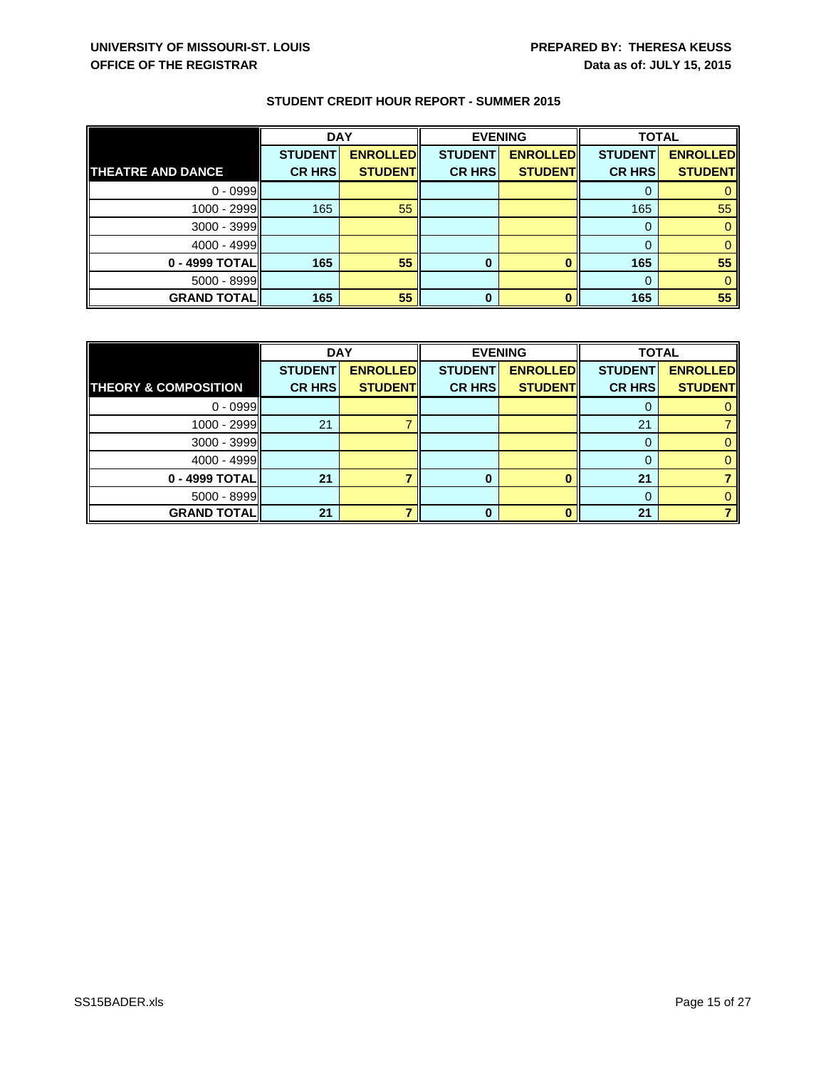|                          | <b>DAY</b>     |                 | <b>EVENING</b> |                 | <b>TOTAL</b>   |                 |
|--------------------------|----------------|-----------------|----------------|-----------------|----------------|-----------------|
|                          | <b>STUDENT</b> | <b>ENROLLED</b> | <b>STUDENT</b> | <b>ENROLLED</b> | <b>STUDENT</b> | <b>ENROLLED</b> |
| <b>THEATRE AND DANCE</b> | <b>CR HRS</b>  | <b>STUDENT</b>  | <b>CR HRS</b>  | <b>STUDENT</b>  | <b>CR HRS</b>  | <b>STUDENT</b>  |
| $0 - 0999$               |                |                 |                |                 | U              |                 |
| 1000 - 2999              | 165            | 55              |                |                 | 165            | 55              |
| 3000 - 3999              |                |                 |                |                 | 0              |                 |
| $4000 - 4999$            |                |                 |                |                 | 0              |                 |
| 0 - 4999 TOTAL           | 165            | 55              |                |                 | 165            | 55              |
| 5000 - 8999              |                |                 |                |                 | $\Omega$       |                 |
| <b>GRAND TOTAL</b>       | 165            | 55              | 0              |                 | 165            | 55              |

|                                 | <b>DAY</b>     |                 | <b>EVENING</b> |                 | <b>TOTAL</b>   |                 |
|---------------------------------|----------------|-----------------|----------------|-----------------|----------------|-----------------|
|                                 | <b>STUDENT</b> | <b>ENROLLED</b> | <b>STUDENT</b> | <b>ENROLLED</b> | <b>STUDENT</b> | <b>ENROLLED</b> |
| <b>THEORY &amp; COMPOSITION</b> | <b>CR HRS</b>  | <b>STUDENT</b>  | <b>CR HRS</b>  | <b>STUDENTI</b> | <b>CR HRS</b>  | <b>STUDENT</b>  |
| $0 - 0999$                      |                |                 |                |                 |                |                 |
| 1000 - 2999                     | 21             |                 |                |                 | 21             |                 |
| 3000 - 3999                     |                |                 |                |                 |                |                 |
| $4000 - 4999$                   |                |                 |                |                 |                |                 |
| 0 - 4999 TOTAL                  | 21             |                 |                |                 | 21             |                 |
| $5000 - 8999$                   |                |                 |                |                 |                |                 |
| <b>GRAND TOTAL</b>              | 21             |                 | o              |                 | 21             |                 |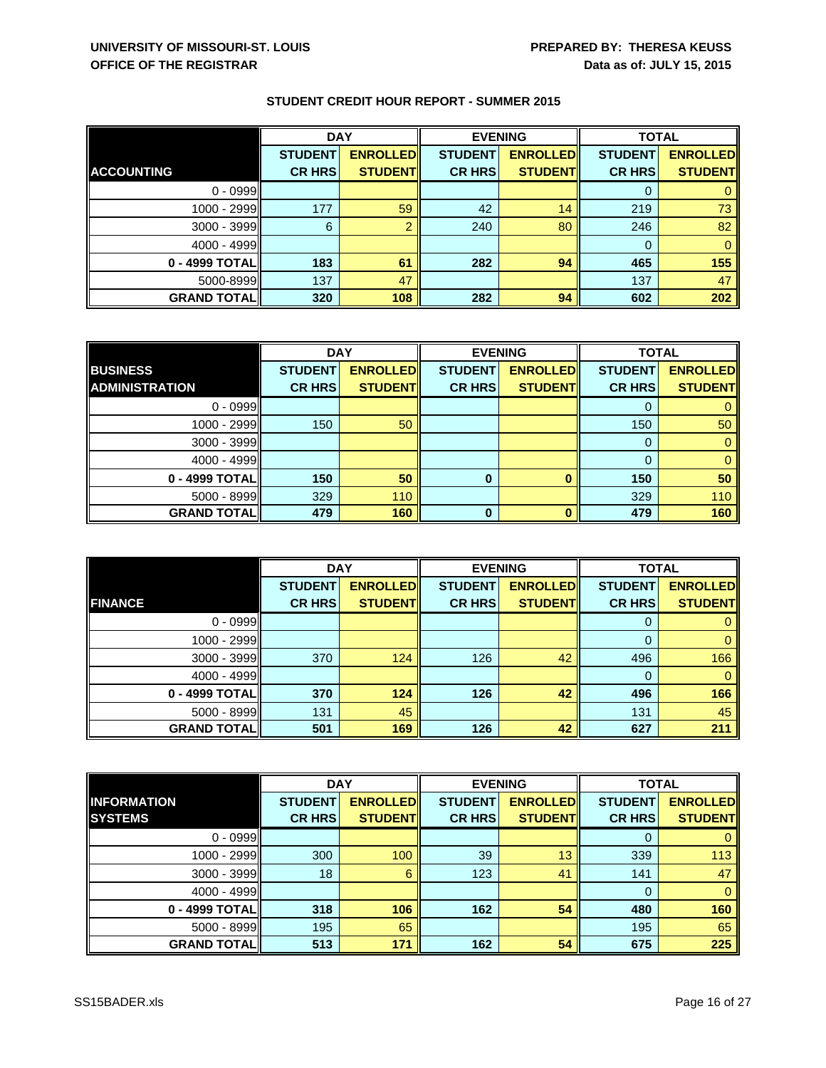|                    | <b>DAY</b>     |                 | <b>EVENING</b> |                 | <b>TOTAL</b>   |                 |
|--------------------|----------------|-----------------|----------------|-----------------|----------------|-----------------|
|                    | <b>STUDENT</b> | <b>ENROLLED</b> | <b>STUDENT</b> | <b>ENROLLED</b> | <b>STUDENT</b> | <b>ENROLLED</b> |
| <b>ACCOUNTING</b>  | <b>CR HRS</b>  | <b>STUDENT</b>  | <b>CR HRS</b>  | <b>STUDENT</b>  | <b>CR HRS</b>  | <b>STUDENT</b>  |
| $0 - 0999$         |                |                 |                |                 |                |                 |
| 1000 - 2999        | 177            | 59              | 42             | 14              | 219            | 73              |
| 3000 - 3999        | 6              |                 | 240            | 80              | 246            | 82              |
| $4000 - 4999$      |                |                 |                |                 | 0              |                 |
| 0 - 4999 TOTAL     | 183            | 61              | 282            | 94              | 465            | 155             |
| 5000-8999          | 137            | 47              |                |                 | 137            | 47              |
| <b>GRAND TOTAL</b> | 320            | 108             | 282            | 94              | 602            | 202             |

|                       | <b>DAY</b>     |                 | <b>EVENING</b> |                 | <b>TOTAL</b>   |                 |
|-----------------------|----------------|-----------------|----------------|-----------------|----------------|-----------------|
| <b>BUSINESS</b>       | <b>STUDENT</b> | <b>ENROLLED</b> | <b>STUDENT</b> | <b>ENROLLED</b> | <b>STUDENT</b> | <b>ENROLLED</b> |
| <b>ADMINISTRATION</b> | <b>CR HRS</b>  | <b>STUDENT</b>  | <b>CR HRS</b>  | <b>STUDENT</b>  | <b>CR HRS</b>  | <b>STUDENT</b>  |
| $0 - 0999$            |                |                 |                |                 |                |                 |
| 1000 - 2999           | 150            | 50              |                |                 | 150            | 50              |
| 3000 - 3999           |                |                 |                |                 | 0              |                 |
| 4000 - 4999           |                |                 |                |                 | $\Omega$       |                 |
| 0 - 4999 TOTAL        | 150            | 50              | 0              |                 | 150            | 50              |
| $5000 - 8999$         | 329            | 110             |                |                 | 329            | 110             |
| <b>GRAND TOTAL</b>    | 479            | 160             | 0              |                 | 479            | 160             |

|                    | <b>DAY</b>     |                 | <b>EVENING</b> |                 | <b>TOTAL</b>   |                 |
|--------------------|----------------|-----------------|----------------|-----------------|----------------|-----------------|
|                    | <b>STUDENT</b> | <b>ENROLLED</b> | <b>STUDENT</b> | <b>ENROLLED</b> | <b>STUDENT</b> | <b>ENROLLED</b> |
| <b>FINANCE</b>     | <b>CR HRS</b>  | <b>STUDENT</b>  | <b>CR HRS</b>  | <b>STUDENT</b>  | <b>CR HRS</b>  | <b>STUDENT</b>  |
| $0 - 0999$         |                |                 |                |                 | 0              |                 |
| 1000 - 2999        |                |                 |                |                 | $\Omega$       |                 |
| 3000 - 3999        | 370            | 124             | 126            | 42              | 496            | 166             |
| $4000 - 4999$      |                |                 |                |                 | 0              | $\Omega$        |
| 0 - 4999 TOTAL     | 370            | 124             | 126            | 42              | 496            | 166             |
| 5000 - 8999        | 131            | 45              |                |                 | 131            | 45              |
| <b>GRAND TOTAL</b> | 501            | 169             | 126            | 42              | 627            | 211             |

|                    | <b>DAY</b>     |                 | <b>EVENING</b> |                  | <b>TOTAL</b>   |                 |
|--------------------|----------------|-----------------|----------------|------------------|----------------|-----------------|
| <b>INFORMATION</b> | <b>STUDENT</b> | <b>ENROLLED</b> | <b>STUDENT</b> | <b>ENROLLEDI</b> | <b>STUDENT</b> | <b>ENROLLED</b> |
| <b>SYSTEMS</b>     | <b>CR HRS</b>  | <b>STUDENT</b>  | <b>CR HRS</b>  | <b>STUDENT</b>   | <b>CR HRS</b>  | <b>STUDENT</b>  |
| $0 - 0999$         |                |                 |                |                  | 0              |                 |
| 1000 - 2999        | 300            | 100             | 39             | 13               | 339            | 113             |
| $3000 - 3999$      | 18             | 6               | 123            | 41               | 141            | 47              |
| $4000 - 4999$      |                |                 |                |                  | 0              |                 |
| 0 - 4999 TOTAL     | 318            | 106             | 162            | 54               | 480            | 160             |
| 5000 - 8999        | 195            | 65              |                |                  | 195            | 65              |
| <b>GRAND TOTAL</b> | 513            | 171             | 162            | 54               | 675            | 225             |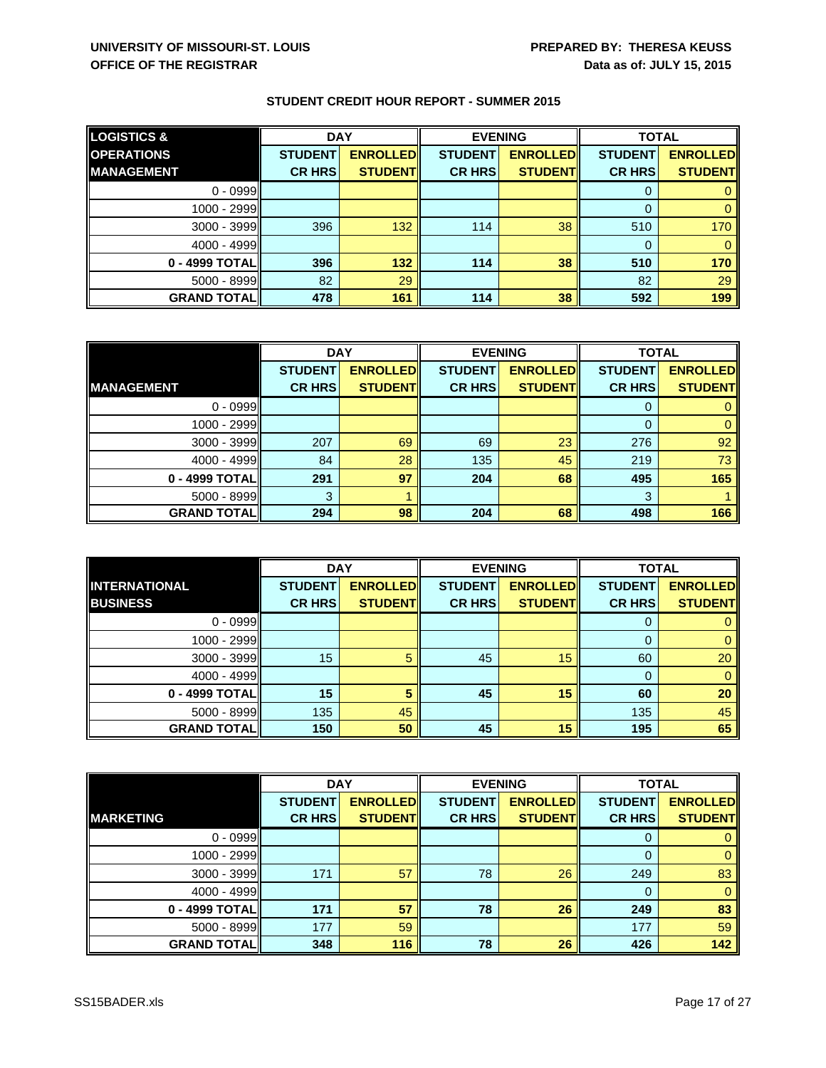| <b>LOGISTICS &amp;</b> | <b>DAY</b>     |                 | <b>EVENING</b> |                 | <b>TOTAL</b>   |                 |
|------------------------|----------------|-----------------|----------------|-----------------|----------------|-----------------|
| <b>OPERATIONS</b>      | <b>STUDENT</b> | <b>ENROLLED</b> | <b>STUDENT</b> | <b>ENROLLED</b> | <b>STUDENT</b> | <b>ENROLLED</b> |
| <b>MANAGEMENT</b>      | <b>CR HRS</b>  | <b>STUDENT</b>  | <b>CR HRS</b>  | <b>STUDENTI</b> | <b>CR HRS</b>  | <b>STUDENT</b>  |
| $0 - 0999$             |                |                 |                |                 |                |                 |
| 1000 - 2999            |                |                 |                |                 |                |                 |
| $3000 - 3999$          | 396            | 132             | 114            | 38              | 510            | 170             |
| 4000 - 4999            |                |                 |                |                 |                |                 |
| 0 - 4999 TOTAL         | 396            | 132             | 114            | 38              | 510            | 170             |
| 5000 - 8999            | 82             | 29              |                |                 | 82             | 29              |
| <b>GRAND TOTAL  </b>   | 478            | 161             | 114            | 38              | 592            | 199             |

|                      | <b>DAY</b>     |                 | <b>EVENING</b> |                 | <b>TOTAL</b>   |                 |
|----------------------|----------------|-----------------|----------------|-----------------|----------------|-----------------|
|                      | <b>STUDENT</b> | <b>ENROLLED</b> | <b>STUDENT</b> | <b>ENROLLED</b> | <b>STUDENT</b> | <b>ENROLLED</b> |
| <b>MANAGEMENT</b>    | <b>CR HRS</b>  | <b>STUDENT</b>  | <b>CR HRS</b>  | <b>STUDENT</b>  | <b>CR HRS</b>  | <b>STUDENT</b>  |
| $0 - 0999$           |                |                 |                |                 |                |                 |
| $1000 - 2999$        |                |                 |                |                 | $\Omega$       |                 |
| $3000 - 3999$        | 207            | 69              | 69             | 23              | 276            | 92              |
| 4000 - 4999          | 84             | 28              | 135            | 45              | 219            | 73              |
| 0 - 4999 TOTAL       | 291            | 97              | 204            | 68              | 495            | 165             |
| 5000 - 8999          | 3              |                 |                |                 | 3              |                 |
| <b>GRAND TOTALII</b> | 294            | 98              | 204            | 68              | 498            | 166             |

|                      | <b>DAY</b>     |                 | <b>EVENING</b> |                 | <b>TOTAL</b>   |                 |
|----------------------|----------------|-----------------|----------------|-----------------|----------------|-----------------|
| <b>INTERNATIONAL</b> | <b>STUDENT</b> | <b>ENROLLED</b> | <b>STUDENT</b> | <b>ENROLLED</b> | <b>STUDENT</b> | <b>ENROLLED</b> |
| <b>BUSINESS</b>      | <b>CR HRS</b>  | <b>STUDENT</b>  | <b>CR HRS</b>  | <b>STUDENT</b>  | <b>CR HRS</b>  | <b>STUDENT</b>  |
| $0 - 0999$           |                |                 |                |                 | 0              |                 |
| 1000 - 2999          |                |                 |                |                 | 0              |                 |
| $3000 - 3999$        | 15             | 5               | 45             | 15              | 60             | 20              |
| $4000 - 4999$        |                |                 |                |                 | 0              | $\Omega$        |
| 0 - 4999 TOTAL       | 15             |                 | 45             | 15              | 60             | 20              |
| $5000 - 8999$        | 135            | 45              |                |                 | 135            | 45              |
| <b>GRAND TOTAL</b>   | 150            | 50              | 45             | 15              | 195            | 65              |

|                    | <b>DAY</b>     |                 | <b>EVENING</b> |                 | <b>TOTAL</b>   |                 |
|--------------------|----------------|-----------------|----------------|-----------------|----------------|-----------------|
|                    | <b>STUDENT</b> | <b>ENROLLED</b> | <b>STUDENT</b> | <b>ENROLLED</b> | <b>STUDENT</b> | <b>ENROLLED</b> |
| <b>MARKETING</b>   | <b>CR HRS</b>  | <b>STUDENT</b>  | <b>CR HRS</b>  | <b>STUDENTI</b> | <b>CR HRS</b>  | <b>STUDENT</b>  |
| $0 - 0999$         |                |                 |                |                 | 0              |                 |
| 1000 - 2999        |                |                 |                |                 | 0              |                 |
| 3000 - 3999        | 171            | 57              | 78             | 26              | 249            | 83              |
| $4000 - 4999$      |                |                 |                |                 | 0              |                 |
| 0 - 4999 TOTAL     | 171            | 57              | 78             | 26              | 249            | 83              |
| 5000 - 8999        | 177            | 59              |                |                 | 177            | 59              |
| <b>GRAND TOTAL</b> | 348            | 116             | 78             | 26              | 426            | 142             |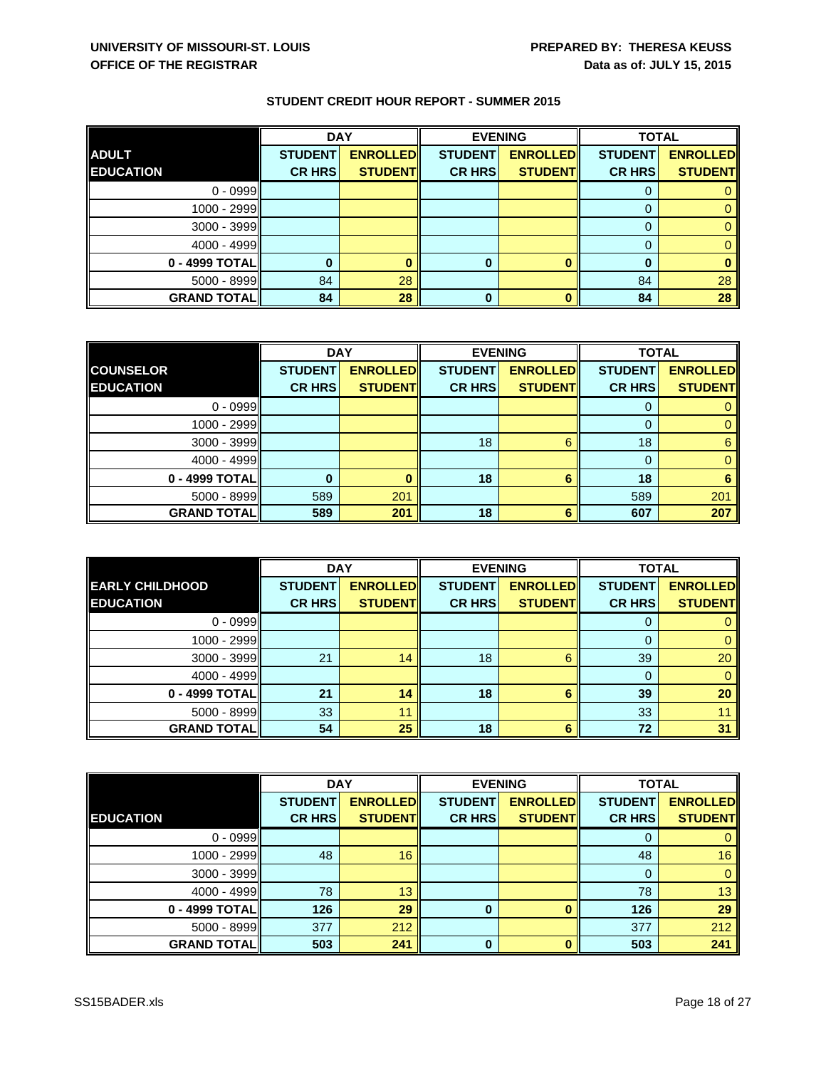|                    | <b>DAY</b>     |                 | <b>EVENING</b> |                 | <b>TOTAL</b>   |                 |
|--------------------|----------------|-----------------|----------------|-----------------|----------------|-----------------|
| <b>ADULT</b>       | <b>STUDENT</b> | <b>ENROLLED</b> | <b>STUDENT</b> | <b>ENROLLED</b> | <b>STUDENT</b> | <b>ENROLLED</b> |
| <b>EDUCATION</b>   | <b>CR HRS</b>  | <b>STUDENT</b>  | <b>CR HRS</b>  | <b>STUDENT</b>  | <b>CR HRS</b>  | <b>STUDENT</b>  |
| $0 - 0999$         |                |                 |                |                 |                |                 |
| 1000 - 2999        |                |                 |                |                 | 0              |                 |
| 3000 - 3999        |                |                 |                |                 | 0              |                 |
| $4000 - 4999$      |                |                 |                |                 | 0              |                 |
| 0 - 4999 TOTAL     |                |                 |                |                 | 0              |                 |
| 5000 - 8999        | 84             | 28              |                |                 | 84             | 28              |
| <b>GRAND TOTAL</b> | 84             | 28              | 0              |                 | 84             | 28              |

|                    | <b>DAY</b>     |                 |                | <b>EVENING</b>  |                | <b>TOTAL</b>    |  |
|--------------------|----------------|-----------------|----------------|-----------------|----------------|-----------------|--|
| <b>COUNSELOR</b>   | <b>STUDENT</b> | <b>ENROLLED</b> | <b>STUDENT</b> | <b>ENROLLED</b> | <b>STUDENT</b> | <b>ENROLLED</b> |  |
| <b>EDUCATION</b>   | <b>CR HRS</b>  | <b>STUDENT</b>  | <b>CR HRS</b>  | <b>STUDENT</b>  | <b>CR HRS</b>  | <b>STUDENT</b>  |  |
| $0 - 0999$         |                |                 |                |                 |                |                 |  |
| 1000 - 2999        |                |                 |                |                 | $\mathbf{0}$   | 0               |  |
| 3000 - 3999        |                |                 | 18             | 6               | 18             | 6               |  |
| 4000 - 4999        |                |                 |                |                 | $\Omega$       | $\Omega$        |  |
| 0 - 4999 TOTAL     | O              |                 | 18             | 6               | 18             | 6               |  |
| $5000 - 8999$      | 589            | 201             |                |                 | 589            | 201             |  |
| <b>GRAND TOTAL</b> | 589            | 201             | 18             | 6               | 607            | 207             |  |

|                        | <b>DAY</b>     |                 | <b>EVENING</b> |                 | <b>TOTAL</b>   |                 |
|------------------------|----------------|-----------------|----------------|-----------------|----------------|-----------------|
| <b>EARLY CHILDHOOD</b> | <b>STUDENT</b> | <b>ENROLLED</b> | <b>STUDENT</b> | <b>ENROLLED</b> | <b>STUDENT</b> | <b>ENROLLED</b> |
| <b>EDUCATION</b>       | <b>CR HRS</b>  | <b>STUDENT</b>  | <b>CR HRS</b>  | <b>STUDENT</b>  | <b>CR HRS</b>  | <b>STUDENT</b>  |
| $0 - 0999$             |                |                 |                |                 | 0              |                 |
| 1000 - 2999            |                |                 |                |                 | 0              |                 |
| $3000 - 3999$          | 21             | 14              | 18             | 6               | 39             | 20              |
| $4000 - 4999$          |                |                 |                |                 | 0              |                 |
| 0 - 4999 TOTAL         | 21             | 14              | 18             | 6               | 39             | 20              |
| $5000 - 8999$          | 33             | 11              |                |                 | 33             |                 |
| <b>GRAND TOTAL</b>     | 54             | 25              | 18             | 6               | 72             | 31              |

|                    | <b>DAY</b>     |                 | <b>EVENING</b> |                 | <b>TOTAL</b>   |                 |
|--------------------|----------------|-----------------|----------------|-----------------|----------------|-----------------|
|                    | <b>STUDENT</b> | <b>ENROLLED</b> | <b>STUDENT</b> | <b>ENROLLED</b> | <b>STUDENT</b> | <b>ENROLLED</b> |
| <b>EDUCATION</b>   | <b>CR HRS</b>  | <b>STUDENTI</b> | <b>CR HRS</b>  | <b>STUDENT</b>  | <b>CR HRS</b>  | <b>STUDENT</b>  |
| $0 - 0999$         |                |                 |                |                 | O              |                 |
| 1000 - 2999        | 48             | 16              |                |                 | 48             | 16 <sup>°</sup> |
| 3000 - 3999        |                |                 |                |                 | $\Omega$       | 0               |
| $4000 - 4999$      | 78             | 13              |                |                 | 78             | 13 <sup>°</sup> |
| 0 - 4999 TOTAL     | 126            | 29              | 0              |                 | 126            | 29              |
| $5000 - 8999$      | 377            | 212             |                |                 | 377            | 212             |
| <b>GRAND TOTAL</b> | 503            | 241             | 0              |                 | 503            | 241             |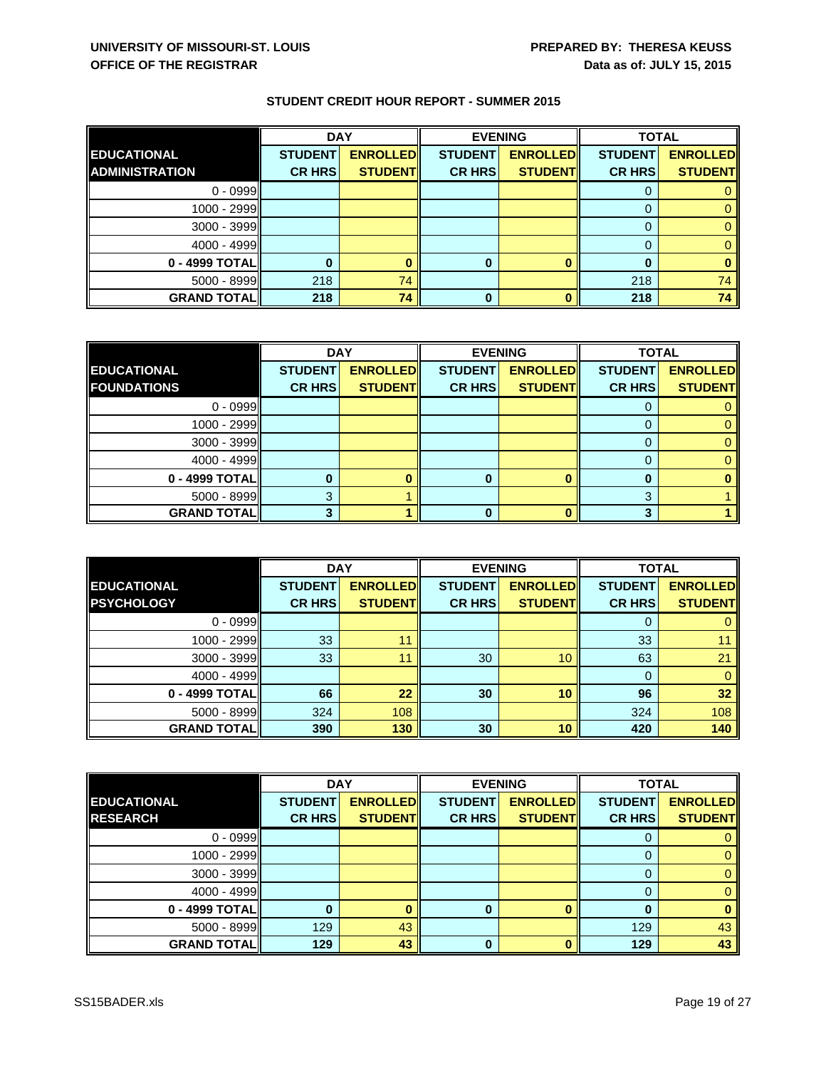|                       | <b>DAY</b>     |                 | <b>EVENING</b> |                 | <b>TOTAL</b>   |                 |
|-----------------------|----------------|-----------------|----------------|-----------------|----------------|-----------------|
| EDUCATIONAL           | <b>STUDENT</b> | <b>ENROLLED</b> | <b>STUDENT</b> | <b>ENROLLED</b> | <b>STUDENT</b> | <b>ENROLLED</b> |
| <b>ADMINISTRATION</b> | <b>CR HRS</b>  | <b>STUDENT</b>  | <b>CR HRS</b>  | <b>STUDENT</b>  | <b>CR HRS</b>  | <b>STUDENT</b>  |
| $0 - 0999$            |                |                 |                |                 |                |                 |
| $1000 - 2999$         |                |                 |                |                 |                |                 |
| 3000 - 3999           |                |                 |                |                 |                |                 |
| $4000 - 4999$         |                |                 |                |                 |                |                 |
| 0 - 4999 TOTAL        |                |                 |                |                 |                |                 |
| $5000 - 8999$         | 218            | 74              |                |                 | 218            | 74 <sub>1</sub> |
| <b>GRAND TOTAL</b>    | 218            | 74              | $\bf{0}$       |                 | 218            | 74 I            |

|                     | <b>DAY</b>     |                 | <b>EVENING</b> |                 | <b>TOTAL</b>   |                 |
|---------------------|----------------|-----------------|----------------|-----------------|----------------|-----------------|
| <b>EDUCATIONAL</b>  | <b>STUDENT</b> | <b>ENROLLED</b> | <b>STUDENT</b> | <b>ENROLLED</b> | <b>STUDENT</b> | <b>ENROLLED</b> |
| <b>FOUNDATIONS</b>  | <b>CR HRS</b>  | <b>STUDENT</b>  | <b>CR HRS</b>  | <b>STUDENT</b>  | <b>CR HRS</b>  | <b>STUDENT</b>  |
| $0 - 0999$          |                |                 |                |                 |                |                 |
| 1000 - 2999         |                |                 |                |                 |                |                 |
| 3000 - 3999         |                |                 |                |                 |                |                 |
| 4000 - 4999         |                |                 |                |                 |                |                 |
| 0 - 4999 TOTAL      |                |                 | 0              |                 | 0              |                 |
| $5000 - 8999$       | 3              |                 |                |                 | 3              |                 |
| <b>GRAND TOTALI</b> | ≏              |                 | 0              |                 | 3              |                 |

|                    | <b>DAY</b>     |                 | <b>EVENING</b> |                 | <b>TOTAL</b>   |                 |
|--------------------|----------------|-----------------|----------------|-----------------|----------------|-----------------|
| <b>EDUCATIONAL</b> | <b>STUDENT</b> | <b>ENROLLED</b> | <b>STUDENT</b> | <b>ENROLLED</b> | <b>STUDENT</b> | <b>ENROLLED</b> |
| <b>PSYCHOLOGY</b>  | <b>CR HRS</b>  | <b>STUDENT</b>  | <b>CR HRS</b>  | <b>STUDENT</b>  | <b>CR HRS</b>  | <b>STUDENT</b>  |
| $0 - 0999$         |                |                 |                |                 | 0              |                 |
| 1000 - 2999        | 33             |                 |                |                 | 33             |                 |
| 3000 - 3999        | 33             |                 | 30             | 10              | 63             | 21              |
| $4000 - 4999$      |                |                 |                |                 | 0              | $\Omega$        |
| 0 - 4999 TOTAL     | 66             | 22              | 30             | 10              | 96             | 32              |
| $5000 - 8999$      | 324            | 108             |                |                 | 324            | 108             |
| <b>GRAND TOTAL</b> | 390            | 130             | 30             | 10              | 420            | 140             |

|                    | <b>DAY</b>     |                 | <b>EVENING</b> |                 | <b>TOTAL</b>   |                 |
|--------------------|----------------|-----------------|----------------|-----------------|----------------|-----------------|
| <b>EDUCATIONAL</b> | <b>STUDENT</b> | <b>ENROLLED</b> | <b>STUDENT</b> | <b>ENROLLED</b> | <b>STUDENT</b> | <b>ENROLLED</b> |
| <b>RESEARCH</b>    | <b>CR HRS</b>  | <b>STUDENT</b>  | <b>CR HRS</b>  | <b>STUDENT</b>  | <b>CR HRS</b>  | <b>STUDENT</b>  |
| $0 - 0999$         |                |                 |                |                 | O              |                 |
| 1000 - 2999        |                |                 |                |                 |                |                 |
| 3000 - 3999        |                |                 |                |                 | 0              |                 |
| $4000 - 4999$      |                |                 |                |                 | 0              |                 |
| 0 - 4999 TOTAL     |                |                 |                |                 |                |                 |
| 5000 - 8999        | 129            | 43              |                |                 | 129            | 43              |
| <b>GRAND TOTAL</b> | 129            | 43              | 0              |                 | 129            | 43              |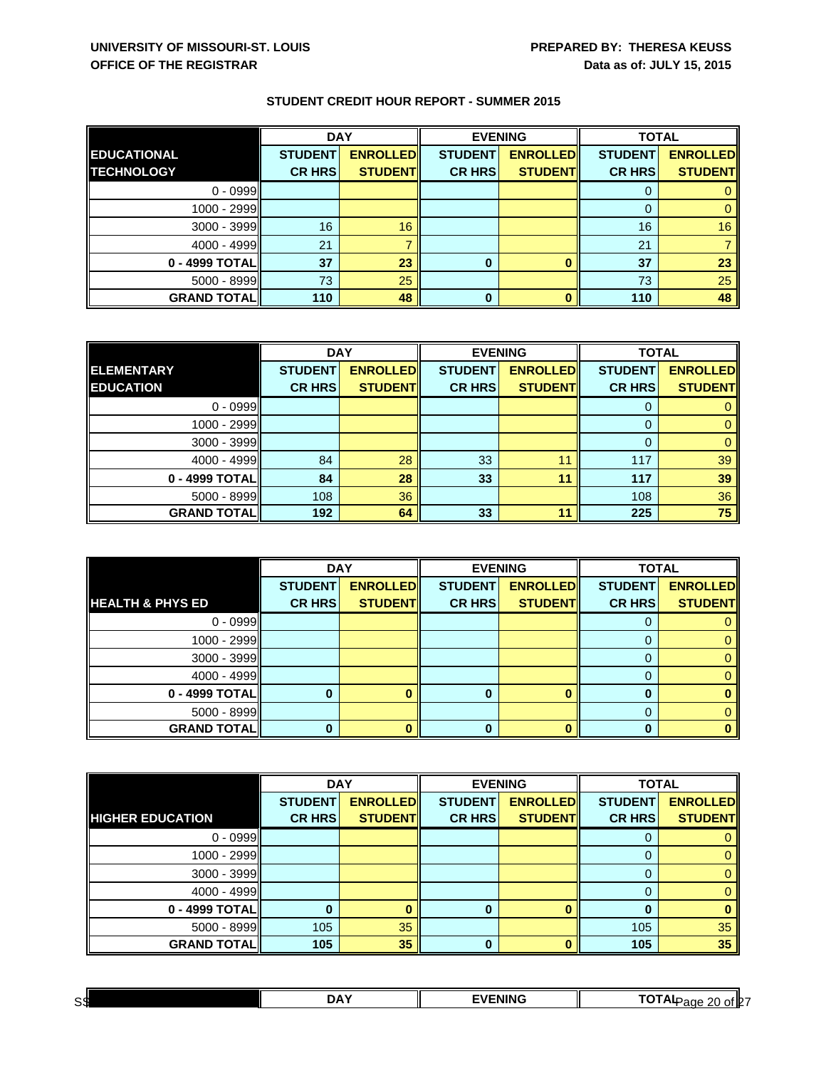|                    | <b>DAY</b>     |                 | <b>EVENING</b> |                 | <b>TOTAL</b>   |                 |
|--------------------|----------------|-----------------|----------------|-----------------|----------------|-----------------|
| <b>EDUCATIONAL</b> | <b>STUDENT</b> | <b>ENROLLED</b> | <b>STUDENT</b> | <b>ENROLLED</b> | <b>STUDENT</b> | <b>ENROLLED</b> |
| <b>TECHNOLOGY</b>  | <b>CR HRS</b>  | <b>STUDENT</b>  | <b>CR HRS</b>  | <b>STUDENT</b>  | <b>CR HRS</b>  | <b>STUDENT</b>  |
| $0 - 0999$         |                |                 |                |                 | 0              |                 |
| 1000 - 2999        |                |                 |                |                 | 0              |                 |
| $3000 - 3999$      | 16             | 16 <sup>°</sup> |                |                 | 16             | 16              |
| $4000 - 4999$      | 21             |                 |                |                 | 21             |                 |
| 0 - 4999 TOTAL     | 37             | 23              |                |                 | 37             | 23              |
| 5000 - 8999        | 73             | 25              |                |                 | 73             | 25              |
| <b>GRAND TOTAL</b> | 110            | 48              | 0              |                 | 110            | 48              |

|                    | <b>DAY</b><br><b>EVENING</b> |                 |                | <b>TOTAL</b>    |                |                 |
|--------------------|------------------------------|-----------------|----------------|-----------------|----------------|-----------------|
| <b>ELEMENTARY</b>  | <b>STUDENT</b>               | <b>ENROLLED</b> | <b>STUDENT</b> | <b>ENROLLED</b> | <b>STUDENT</b> | <b>ENROLLED</b> |
| <b>EDUCATION</b>   | <b>CR HRS</b>                | <b>STUDENT</b>  | <b>CR HRS</b>  | <b>STUDENT</b>  | <b>CR HRS</b>  | <b>STUDENT</b>  |
| $0 - 0999$         |                              |                 |                |                 |                |                 |
| 1000 - 2999        |                              |                 |                |                 | $\Omega$       | 0               |
| $3000 - 3999$      |                              |                 |                |                 |                | 0               |
| 4000 - 4999        | 84                           | 28              | 33             | 11              | 117            | 39              |
| 0 - 4999 TOTAL     | 84                           | 28              | 33             | 11              | 117            | 39              |
| $5000 - 8999$      | 108                          | 36              |                |                 | 108            | 36              |
| <b>GRAND TOTAL</b> | 192                          | 64              | 33             | 11              | 225            | 75              |

|                             | <b>DAY</b>     |                 | <b>EVENING</b> |                 | <b>TOTAL</b>   |                 |
|-----------------------------|----------------|-----------------|----------------|-----------------|----------------|-----------------|
|                             | <b>STUDENT</b> | <b>ENROLLED</b> | <b>STUDENT</b> | <b>ENROLLED</b> | <b>STUDENT</b> | <b>ENROLLED</b> |
| <b>HEALTH &amp; PHYS ED</b> | <b>CR HRS</b>  | <b>STUDENT</b>  | <b>CR HRS</b>  | <b>STUDENT</b>  | <b>CR HRS</b>  | <b>STUDENT</b>  |
| $0 - 0999$                  |                |                 |                |                 |                |                 |
| 1000 - 2999                 |                |                 |                |                 |                |                 |
| $3000 - 3999$               |                |                 |                |                 | 0              |                 |
| $4000 - 4999$               |                |                 |                |                 |                |                 |
| 0 - 4999 TOTAL              |                |                 | 0              | o               | $\mathbf 0$    |                 |
| $5000 - 8999$               |                |                 |                |                 | 0              |                 |
| <b>GRAND TOTAL</b>          |                |                 |                |                 | ŋ              |                 |

|                         | <b>DAY</b>     |                 | <b>EVENING</b> |                 | <b>TOTAL</b>   |                 |
|-------------------------|----------------|-----------------|----------------|-----------------|----------------|-----------------|
|                         | <b>STUDENT</b> | <b>ENROLLED</b> | <b>STUDENT</b> | <b>ENROLLED</b> | <b>STUDENT</b> | <b>ENROLLED</b> |
| <b>HIGHER EDUCATION</b> | <b>CR HRS</b>  | <b>STUDENT</b>  | <b>CR HRS</b>  | <b>STUDENT</b>  | <b>CR HRS</b>  | <b>STUDENT</b>  |
| $0 - 0999$              |                |                 |                |                 | O              |                 |
| 1000 - 2999             |                |                 |                |                 | 0              |                 |
| 3000 - 3999             |                |                 |                |                 | 0              |                 |
| $4000 - 4999$           |                |                 |                |                 | 0              |                 |
| 0 - 4999 TOTAL          |                |                 | $\bf{0}$       |                 | 0              |                 |
| 5000 - 8999             | 105            | 35              |                |                 | 105            | 35              |
| <b>GRAND TOTAL</b>      | 105            | 35              | 0              |                 | 105            | 35              |

| S\$ | .,<br>,,,,<br>- | -<br> | ∕ of lP⊺<br>- -<br>ור<br>ane<br>$\sim$ |  |
|-----|-----------------|-------|----------------------------------------|--|
|     |                 |       |                                        |  |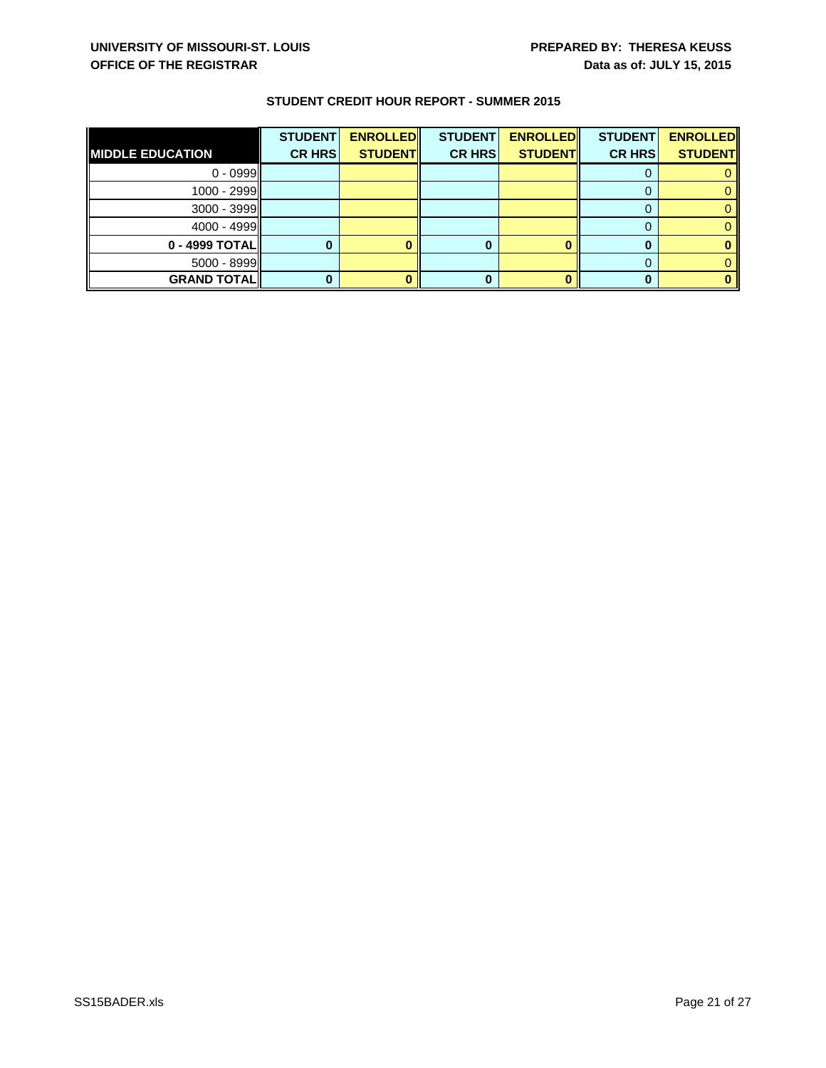|                         | <b>STUDENT</b> | <b>ENROLLED</b> | <b>STUDENT</b> | <b>ENROLLED</b> | <b>STUDENT</b> | <b>ENROLLED</b> |
|-------------------------|----------------|-----------------|----------------|-----------------|----------------|-----------------|
| <b>MIDDLE EDUCATION</b> | <b>CR HRS</b>  | <b>STUDENT</b>  | <b>CR HRS</b>  | <b>STUDENT</b>  | <b>CR HRS</b>  | <b>STUDENT</b>  |
| $0 - 0999$              |                |                 |                |                 |                |                 |
| 1000 - 2999             |                |                 |                |                 |                |                 |
| $3000 - 3999$           |                |                 |                |                 |                |                 |
| 4000 - 4999             |                |                 |                |                 |                |                 |
| $0 - 4999$ TOTAL        |                |                 |                |                 |                |                 |
| $5000 - 8999$           |                |                 |                |                 |                |                 |
| <b>GRAND TOTAL</b>      |                |                 |                |                 |                |                 |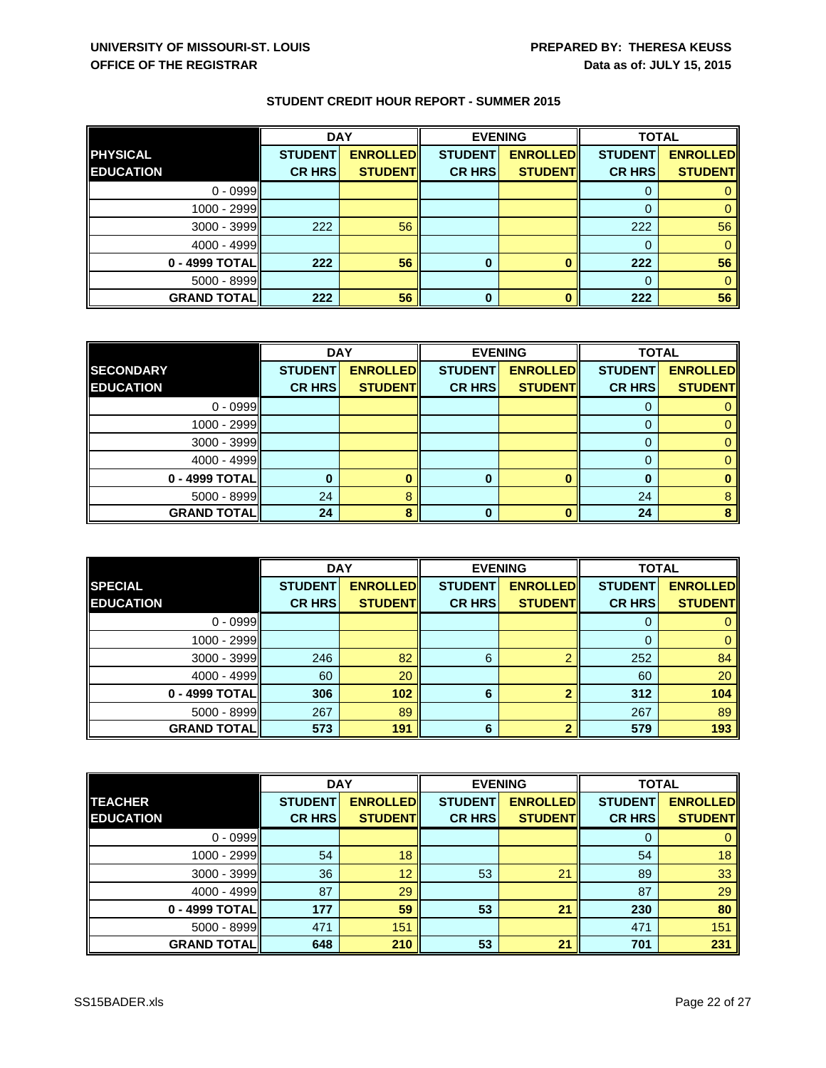|                    | <b>DAY</b><br><b>EVENING</b> |                 |                | <b>TOTAL</b>    |                |                 |
|--------------------|------------------------------|-----------------|----------------|-----------------|----------------|-----------------|
| <b>PHYSICAL</b>    | <b>STUDENT</b>               | <b>ENROLLED</b> | <b>STUDENT</b> | <b>ENROLLED</b> | <b>STUDENT</b> | <b>ENROLLED</b> |
| <b>EDUCATION</b>   | <b>CR HRS</b>                | <b>STUDENT</b>  | <b>CR HRS</b>  | <b>STUDENT</b>  | <b>CR HRS</b>  | <b>STUDENT</b>  |
| $0 - 0999$         |                              |                 |                |                 |                |                 |
| 1000 - 2999        |                              |                 |                |                 | 0              |                 |
| 3000 - 3999        | 222                          | 56              |                |                 | 222            | 56              |
| $4000 - 4999$      |                              |                 |                |                 | 0              |                 |
| 0 - 4999 TOTAL     | 222                          | 56              |                |                 | 222            | 56              |
| 5000 - 8999        |                              |                 |                |                 | 0              |                 |
| <b>GRAND TOTAL</b> | 222                          | 56              | 0              |                 | 222            | 56              |

|                     | <b>DAY</b>     |                 | <b>EVENING</b> |                 | <b>TOTAL</b>   |                 |
|---------------------|----------------|-----------------|----------------|-----------------|----------------|-----------------|
| <b>SECONDARY</b>    | <b>STUDENT</b> | <b>ENROLLED</b> | <b>STUDENT</b> | <b>ENROLLED</b> | <b>STUDENT</b> | <b>ENROLLED</b> |
| <b>EDUCATION</b>    | <b>CR HRS</b>  | <b>STUDENT</b>  | <b>CR HRS</b>  | <b>STUDENT</b>  | <b>CR HRS</b>  | <b>STUDENT</b>  |
| $0 - 0999$          |                |                 |                |                 |                |                 |
| 1000 - 2999         |                |                 |                |                 |                |                 |
| 3000 - 3999         |                |                 |                |                 |                |                 |
| 4000 - 4999         |                |                 |                |                 |                |                 |
| 0 - 4999 TOTAL      |                |                 | 0              |                 | $\bf{0}$       |                 |
| $5000 - 8999$       | 24             |                 |                |                 | 24             |                 |
| <b>GRAND TOTALI</b> | 24             |                 | 0              |                 | 24             |                 |

|                    | <b>DAY</b>     |                 | <b>EVENING</b> |                 | <b>TOTAL</b>   |                 |
|--------------------|----------------|-----------------|----------------|-----------------|----------------|-----------------|
| <b>SPECIAL</b>     | <b>STUDENT</b> | <b>ENROLLED</b> | <b>STUDENT</b> | <b>ENROLLED</b> | <b>STUDENT</b> | <b>ENROLLED</b> |
| <b>EDUCATION</b>   | <b>CR HRS</b>  | <b>STUDENT</b>  | <b>CR HRS</b>  | <b>STUDENT</b>  | <b>CR HRS</b>  | <b>STUDENT</b>  |
| $0 - 0999$         |                |                 |                |                 | 0              |                 |
| 1000 - 2999        |                |                 |                |                 | 0              |                 |
| $3000 - 3999$      | 246            | 82              | 6              |                 | 252            | 84              |
| $4000 - 4999$      | 60             | 20              |                |                 | 60             | 20              |
| 0 - 4999 TOTAL     | 306            | 102             | 6              |                 | 312            | 104             |
| 5000 - 8999        | 267            | 89              |                |                 | 267            | 89              |
| <b>GRAND TOTAL</b> | 573            | 191             | 6              |                 | 579            | 193             |

|                    | <b>DAY</b>     |                 | <b>EVENING</b> |                 | <b>TOTAL</b>   |                 |
|--------------------|----------------|-----------------|----------------|-----------------|----------------|-----------------|
| <b>TEACHER</b>     | <b>STUDENT</b> | <b>ENROLLED</b> | <b>STUDENT</b> | <b>ENROLLED</b> | <b>STUDENT</b> | <b>ENROLLED</b> |
| <b>EDUCATION</b>   | <b>CR HRS</b>  | <b>STUDENT</b>  | <b>CR HRS</b>  | <b>STUDENT</b>  | <b>CR HRS</b>  | <b>STUDENT</b>  |
| $0 - 0999$         |                |                 |                |                 | 0              |                 |
| 1000 - 2999        | 54             | 18              |                |                 | 54             | 18              |
| 3000 - 3999        | 36             | 12              | 53             | 21              | 89             | 33              |
| $4000 - 4999$      | 87             | 29              |                |                 | 87             | 29              |
| 0 - 4999 TOTAL     | 177            | 59              | 53             | 21              | 230            | 80              |
| 5000 - 8999        | 471            | 151             |                |                 | 471            | 151             |
| <b>GRAND TOTAL</b> | 648            | 210             | 53             | 21              | 701            | 231             |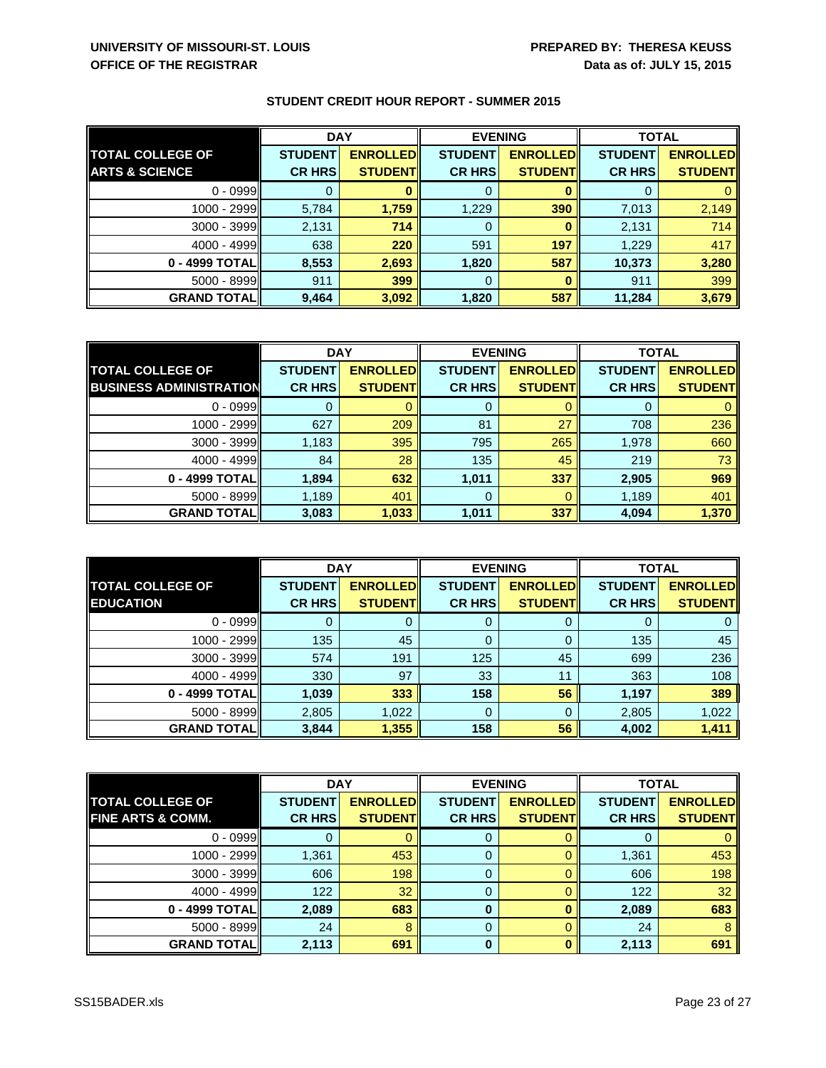|                           | <b>DAY</b>     |                 | <b>EVENING</b> |                 | <b>TOTAL</b>   |                 |
|---------------------------|----------------|-----------------|----------------|-----------------|----------------|-----------------|
| <b>TOTAL COLLEGE OF</b>   | <b>STUDENT</b> | <b>ENROLLED</b> | <b>STUDENT</b> | <b>ENROLLED</b> | <b>STUDENT</b> | <b>ENROLLED</b> |
| <b>ARTS &amp; SCIENCE</b> | <b>CR HRS</b>  | <b>STUDENT</b>  | <b>CR HRS</b>  | <b>STUDENT</b>  | <b>CR HRS</b>  | <b>STUDENT</b>  |
| $0 - 0999$                |                |                 |                |                 |                |                 |
| 1000 - 2999               | 5,784          | 1,759           | 1,229          | 390             | 7,013          | 2,149           |
| 3000 - 3999               | 2,131          | 714             | 0              |                 | 2,131          | 714             |
| $4000 - 4999$             | 638            | 220             | 591            | 197             | 1,229          | 417             |
| 0 - 4999 TOTAL            | 8,553          | 2,693           | 1,820          | 587             | 10,373         | 3,280           |
| 5000 - 8999               | 911            | 399             | 0              |                 | 911            | 399             |
| <b>GRAND TOTAL  </b>      | 9,464          | 3,092           | 1,820          | 587             | 11,284         | 3,679           |

|                                | <b>DAY</b>     |                 | <b>EVENING</b> |                 | <b>TOTAL</b>   |                 |
|--------------------------------|----------------|-----------------|----------------|-----------------|----------------|-----------------|
| <b>TOTAL COLLEGE OF</b>        | <b>STUDENT</b> | <b>ENROLLED</b> | <b>STUDENT</b> | <b>ENROLLED</b> | <b>STUDENT</b> | <b>ENROLLED</b> |
| <b>BUSINESS ADMINISTRATION</b> | <b>CR HRS</b>  | <b>STUDENT</b>  | <b>CR HRS</b>  | <b>STUDENT</b>  | <b>CR HRS</b>  | <b>STUDENT</b>  |
| $0 - 0999$                     |                |                 | 0              |                 |                |                 |
| $1000 - 2999$                  | 627            | 209             | 81             | 27              | 708            | 236             |
| $3000 - 3999$                  | 1,183          | 395             | 795            | 265             | 1,978          | 660             |
| $4000 - 4999$                  | 84             | 28              | 135            | 45              | 219            | 73              |
| 0 - 4999 TOTAL                 | 1,894          | 632             | 1,011          | 337             | 2,905          | 969             |
| $5000 - 8999$                  | 1,189          | 401             | 0              |                 | 1,189          | 401             |
| <b>GRAND TOTAL</b>             | 3,083          | 1,033           | 1,011          | 337             | 4,094          | 1,370           |

|                                             | <b>DAY</b>                      |                                   | <b>EVENING</b>                  |                                   | <b>TOTAL</b>                    |                                   |
|---------------------------------------------|---------------------------------|-----------------------------------|---------------------------------|-----------------------------------|---------------------------------|-----------------------------------|
| <b>TOTAL COLLEGE OF</b><br><b>EDUCATION</b> | <b>STUDENT</b><br><b>CR HRS</b> | <b>ENROLLED</b><br><b>STUDENT</b> | <b>STUDENT</b><br><b>CR HRS</b> | <b>ENROLLED</b><br><b>STUDENT</b> | <b>STUDENT</b><br><b>CR HRS</b> | <b>ENROLLED</b><br><b>STUDENT</b> |
|                                             |                                 |                                   |                                 |                                   |                                 |                                   |
| $0 - 0999$                                  |                                 |                                   |                                 |                                   | 0                               |                                   |
| 1000 - 2999                                 | 135                             | 45                                | 0                               |                                   | 135                             | 45                                |
| $3000 - 3999$                               | 574                             | 191                               | 125                             | 45                                | 699                             | 236                               |
| $4000 - 4999$                               | 330                             | 97                                | 33                              | 11                                | 363                             | 108                               |
| 0 - 4999 TOTAL                              | 1,039                           | 333                               | 158                             | 56                                | 1,197                           | 389                               |
| 5000 - 8999                                 | 2,805                           | 1,022                             | 0                               |                                   | 2,805                           | 1,022                             |
| <b>GRAND TOTAL</b>                          | 3,844                           | 1,355                             | 158                             | 56                                | 4,002                           | 1,411                             |

|                              | <b>DAY</b>     |                  | <b>EVENING</b> |                 |                | <b>TOTAL</b>    |  |
|------------------------------|----------------|------------------|----------------|-----------------|----------------|-----------------|--|
| <b>TOTAL COLLEGE OF</b>      | <b>STUDENT</b> | <b>ENROLLEDI</b> | <b>STUDENT</b> | <b>ENROLLED</b> | <b>STUDENT</b> | <b>ENROLLED</b> |  |
| <b>FINE ARTS &amp; COMM.</b> | <b>CR HRSI</b> | <b>STUDENTI</b>  | <b>CR HRS</b>  | <b>STUDENTI</b> | <b>CR HRS</b>  | <b>STUDENT</b>  |  |
| $0 - 0999$                   |                |                  |                |                 |                |                 |  |
| 1000 - 2999                  | 1,361          | 453              |                |                 | 1,361          | 453             |  |
| $3000 - 3999$                | 606            | 198              | 0              |                 | 606            | 198             |  |
| 4000 - 4999                  | 122            | 32               |                |                 | 122            | 32              |  |
| 0 - 4999 TOTAL               | 2,089          | 683              | 0              |                 | 2,089          | 683             |  |
| $5000 - 8999$                | 24             |                  | 0              |                 | 24             |                 |  |
| <b>GRAND TOTAL</b>           | 2,113          | 691              | 0              |                 | 2,113          | 691             |  |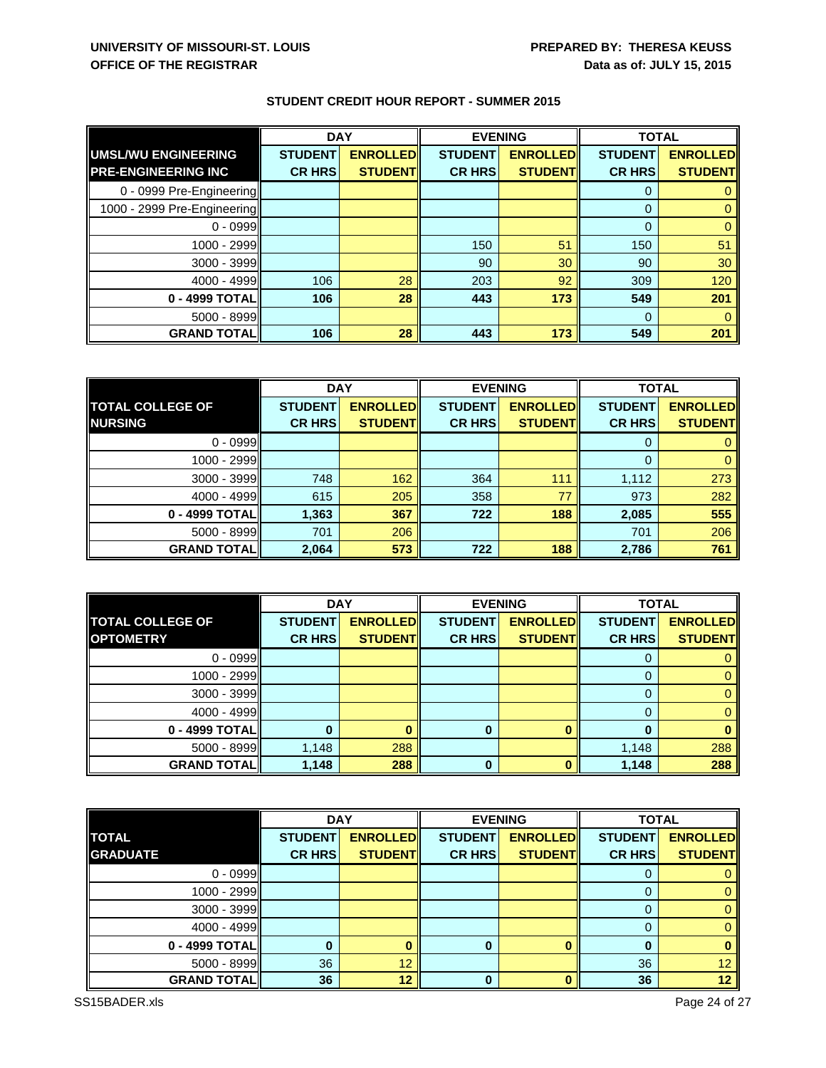|                             | <b>DAY</b>     |                 | <b>EVENING</b> |                 | <b>TOTAL</b>   |                 |
|-----------------------------|----------------|-----------------|----------------|-----------------|----------------|-----------------|
| <b>UMSL/WU ENGINEERING</b>  | <b>STUDENT</b> | <b>ENROLLED</b> | <b>STUDENT</b> | <b>ENROLLED</b> | <b>STUDENT</b> | <b>ENROLLED</b> |
| <b>PRE-ENGINEERING INC</b>  | <b>CR HRS</b>  | <b>STUDENT</b>  | <b>CR HRS</b>  | <b>STUDENT</b>  | <b>CR HRS</b>  | <b>STUDENT</b>  |
| 0 - 0999 Pre-Engineering    |                |                 |                |                 |                |                 |
| 1000 - 2999 Pre-Engineering |                |                 |                |                 | $\Omega$       |                 |
| $0 - 0999$                  |                |                 |                |                 | $\Omega$       |                 |
| 1000 - 2999                 |                |                 | 150            | 51              | 150            | 51              |
| $3000 - 3999$               |                |                 | 90             | 30              | 90             | 30              |
| $4000 - 4999$               | 106            | 28              | 203            | 92              | 309            | 120             |
| 0 - 4999 TOTAL              | 106            | 28              | 443            | 173             | 549            | 201             |
| $5000 - 8999$               |                |                 |                |                 | $\Omega$       |                 |
| <b>GRAND TOTAL</b>          | 106            | 28              | 443            | 173             | 549            | 201             |

|                         | <b>DAY</b><br><b>EVENING</b> |                 | <b>TOTAL</b>   |                 |                |                 |
|-------------------------|------------------------------|-----------------|----------------|-----------------|----------------|-----------------|
| <b>TOTAL COLLEGE OF</b> | <b>STUDENT</b>               | <b>ENROLLED</b> | <b>STUDENT</b> | <b>ENROLLED</b> | <b>STUDENT</b> | <b>ENROLLED</b> |
| <b>NURSING</b>          | <b>CR HRS</b>                | <b>STUDENT</b>  | <b>CR HRS</b>  | <b>STUDENT</b>  | <b>CR HRS</b>  | <b>STUDENT</b>  |
| $0 - 0999$              |                              |                 |                |                 | 0              |                 |
| 1000 - 2999             |                              |                 |                |                 | 0              |                 |
| $3000 - 3999$           | 748                          | 162             | 364            | 111             | 1,112          | 273             |
| $4000 - 4999$           | 615                          | 205             | 358            | 77              | 973            | 282             |
| 0 - 4999 TOTAL          | 1,363                        | 367             | 722            | 188             | 2,085          | 555             |
| 5000 - 8999             | 701                          | 206             |                |                 | 701            | 206             |
| <b>GRAND TOTAL</b>      | 2,064                        | 573             | 722            | 188             | 2,786          | 761             |

|                         | <b>DAY</b>     |                 | <b>EVENING</b> |                 | <b>TOTAL</b>   |                 |
|-------------------------|----------------|-----------------|----------------|-----------------|----------------|-----------------|
| <b>TOTAL COLLEGE OF</b> | <b>STUDENT</b> | <b>ENROLLED</b> | <b>STUDENT</b> | <b>ENROLLED</b> | <b>STUDENT</b> | <b>ENROLLED</b> |
| <b>OPTOMETRY</b>        | <b>CR HRS</b>  | <b>STUDENT</b>  | <b>CR HRS</b>  | <b>STUDENT</b>  | <b>CR HRS</b>  | <b>STUDENT</b>  |
| $0 - 0999$              |                |                 |                |                 | O              |                 |
| 1000 - 2999             |                |                 |                |                 |                |                 |
| 3000 - 3999             |                |                 |                |                 |                |                 |
| 4000 - 4999             |                |                 |                |                 |                |                 |
| 0 - 4999 TOTAL          |                |                 | $\bf{0}$       | O               | O              |                 |
| $5000 - 8999$           | 1,148          | 288             |                |                 | 1,148          | 288             |
| <b>GRAND TOTAL</b>      | 1,148          | 288             | $\bf{0}$       |                 | 1,148          | 288             |

|                    | <b>DAY</b>     |                 | <b>EVENING</b> |                 | <b>TOTAL</b>   |                 |
|--------------------|----------------|-----------------|----------------|-----------------|----------------|-----------------|
| <b>TOTAL</b>       | <b>STUDENT</b> | <b>ENROLLED</b> | <b>STUDENT</b> | <b>ENROLLED</b> | <b>STUDENT</b> | <b>ENROLLED</b> |
| <b>GRADUATE</b>    | <b>CR HRS</b>  | <b>STUDENT</b>  | <b>CR HRS</b>  | <b>STUDENT</b>  | <b>CR HRS</b>  | <b>STUDENT</b>  |
| $0 - 0999$         |                |                 |                |                 |                |                 |
| 1000 - 2999        |                |                 |                |                 |                |                 |
| 3000 - 3999        |                |                 |                |                 |                |                 |
| $4000 - 4999$      |                |                 |                |                 |                |                 |
| 0 - 4999 TOTAL     |                |                 | 0              |                 | 0              |                 |
| 5000 - 8999        | 36             | 12              |                |                 | 36             | 12 <sup>2</sup> |
| <b>GRAND TOTAL</b> | 36             | 12              | 0              |                 | 36             | 12 <sup>°</sup> |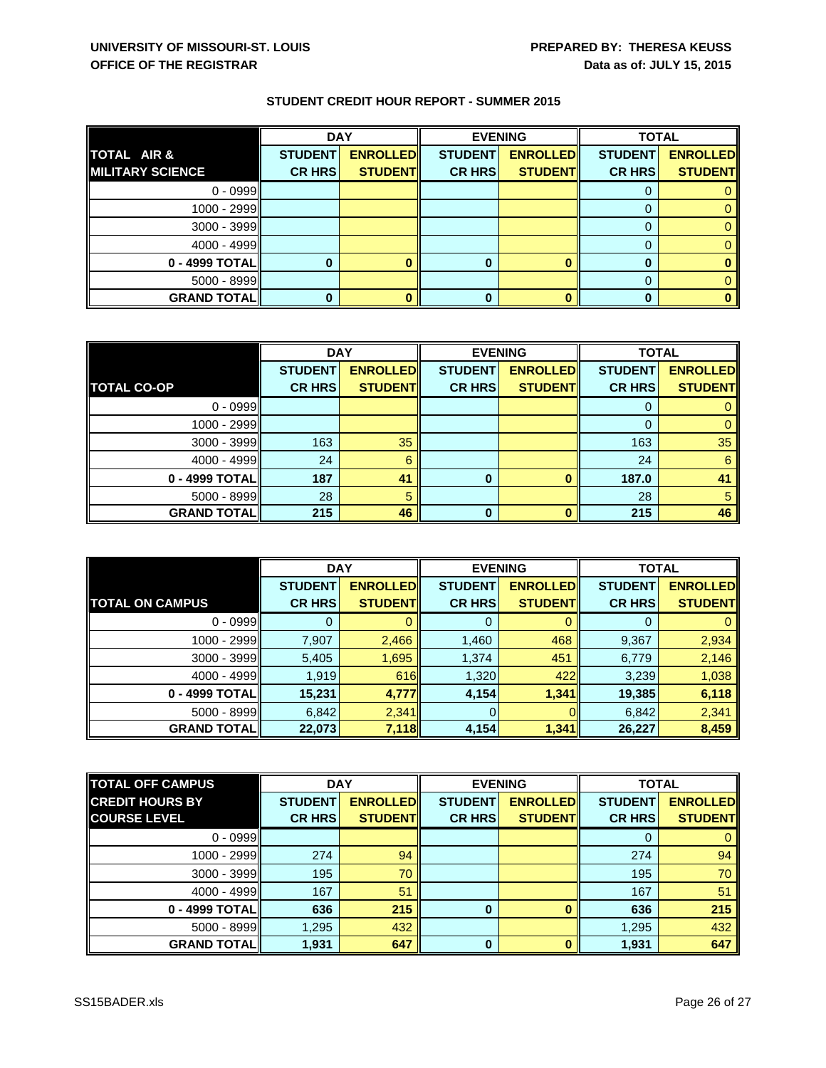|                         | <b>DAY</b>     |                 | <b>EVENING</b> |                 | <b>TOTAL</b>   |                 |
|-------------------------|----------------|-----------------|----------------|-----------------|----------------|-----------------|
| TOTAL AIR &             | <b>STUDENT</b> | <b>ENROLLED</b> | <b>STUDENT</b> | <b>ENROLLED</b> | <b>STUDENT</b> | <b>ENROLLED</b> |
| <b>MILITARY SCIENCE</b> | <b>CR HRS</b>  | <b>STUDENT</b>  | <b>CR HRS</b>  | <b>STUDENT</b>  | <b>CR HRS</b>  | <b>STUDENT</b>  |
| $0 - 0999$              |                |                 |                |                 |                |                 |
| 1000 - 2999             |                |                 |                |                 |                |                 |
| 3000 - 3999             |                |                 |                |                 |                |                 |
| $4000 - 4999$           |                |                 |                |                 |                |                 |
| 0 - 4999 TOTAL          |                |                 |                |                 | 0              |                 |
| $5000 - 8999$           |                |                 |                |                 | 0              |                 |
| <b>GRAND TOTAL</b>      |                |                 |                |                 | 0              |                 |

|                      | <b>DAY</b>     |                 | <b>EVENING</b> |                 | <b>TOTAL</b>   |                 |
|----------------------|----------------|-----------------|----------------|-----------------|----------------|-----------------|
|                      | <b>STUDENT</b> | <b>ENROLLED</b> | <b>STUDENT</b> | <b>ENROLLED</b> | <b>STUDENT</b> | <b>ENROLLED</b> |
| <b>TOTAL CO-OP</b>   | <b>CR HRS</b>  | <b>STUDENT</b>  | <b>CR HRS</b>  | <b>STUDENT</b>  | <b>CR HRS</b>  | <b>STUDENT</b>  |
| $0 - 0999$           |                |                 |                |                 |                |                 |
| $1000 - 2999$        |                |                 |                |                 | 0              |                 |
| $3000 - 3999$        | 163            | 35              |                |                 | 163            | 35              |
| 4000 - 4999          | 24             | 6               |                |                 | 24             | 6               |
| 0 - 4999 TOTAL       | 187            | 41              | 0              |                 | 187.0          | 41              |
| $5000 - 8999$        | 28             |                 |                |                 | 28             | 5               |
| <b>GRAND TOTAL  </b> | 215            | 46              | <sup>0</sup>   |                 | 215            | 46              |

|                        | <b>DAY</b>     |                 | <b>EVENING</b> |                 | <b>TOTAL</b>   |                 |
|------------------------|----------------|-----------------|----------------|-----------------|----------------|-----------------|
|                        | <b>STUDENT</b> | <b>ENROLLED</b> | <b>STUDENT</b> | <b>ENROLLED</b> | <b>STUDENT</b> | <b>ENROLLED</b> |
| <b>TOTAL ON CAMPUS</b> | <b>CR HRS</b>  | <b>STUDENT</b>  | <b>CR HRS</b>  | <b>STUDENT</b>  | <b>CR HRS</b>  | <b>STUDENT</b>  |
| $0 - 0999$             |                |                 |                |                 | 0              |                 |
| 1000 - 2999            | 7,907          | 2,466           | 1,460          | 468             | 9,367          | 2,934           |
| 3000 - 3999            | 5,405          | 1,695           | 1,374          | 451             | 6,779          | 2,146           |
| $4000 - 4999$          | 1,919          | 616             | 1,320          | 422             | 3,239          | 1,038           |
| 0 - 4999 TOTAL         | 15,231         | 4,777           | 4,154          | 1,341           | 19,385         | 6,118           |
| $5000 - 8999$          | 6,842          | 2,341           | $\Omega$       |                 | 6,842          | 2,341           |
| <b>GRAND TOTAL</b>     | 22,073         | 7,118           | 4,154          | 1,341           | 26,227         | 8,459           |

| <b>TOTAL OFF CAMPUS</b> | <b>DAY</b>     |                 | <b>TOTAL</b><br><b>EVENING</b> |                  |                |                 |
|-------------------------|----------------|-----------------|--------------------------------|------------------|----------------|-----------------|
| <b>CREDIT HOURS BY</b>  | <b>STUDENT</b> | <b>ENROLLED</b> | <b>STUDENT</b>                 | <b>ENROLLEDI</b> | <b>STUDENT</b> | <b>ENROLLED</b> |
| <b>COURSE LEVEL</b>     | <b>CR HRS</b>  | <b>STUDENT</b>  | <b>CR HRS</b>                  | <b>STUDENTI</b>  | <b>CR HRS</b>  | <b>STUDENT</b>  |
| $0 - 0999$              |                |                 |                                |                  | 0              |                 |
| $1000 - 2999$           | 274            | 94              |                                |                  | 274            | 94              |
| $3000 - 3999$           | 195            | 70              |                                |                  | 195            | 70              |
| $4000 - 4999$           | 167            | 51              |                                |                  | 167            | 51              |
| 0 - 4999 TOTAL          | 636            | 215             | $\bf{0}$                       |                  | 636            | 215             |
| 5000 - 8999             | 1,295          | 432             |                                |                  | 1,295          | 432             |
| <b>GRAND TOTAL</b>      | 1,931          | 647             | 0                              |                  | 1,931          | 647             |